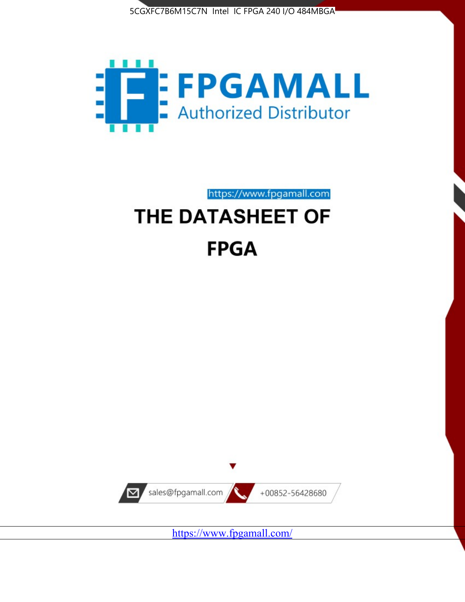



https://www.fpgamall.com THE DATASHEET OF

# **FPGA**



<https://www.fpgamall.com/>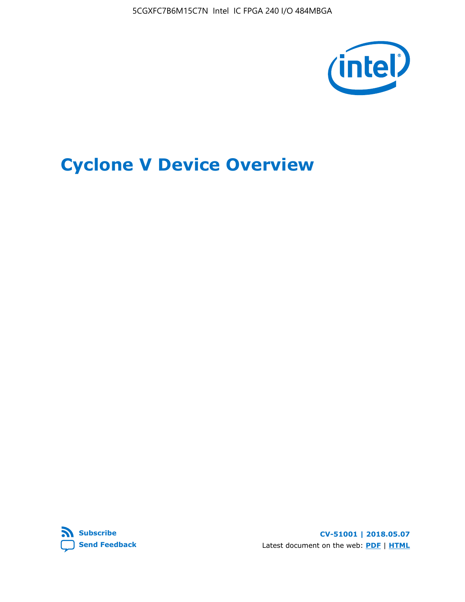5CGXFC7B6M15C7N Intel IC FPGA 240 I/O 484MBGA



# **Cyclone V Device Overview**



**CV-51001 | 2018.05.07** Latest document on the web: **[PDF](https://www.altera.com/en_US/pdfs/literature/hb/cyclone-v/cv_51001.pdf)** | **[HTML](https://www.altera.com/documentation/sam1403480548153.html)**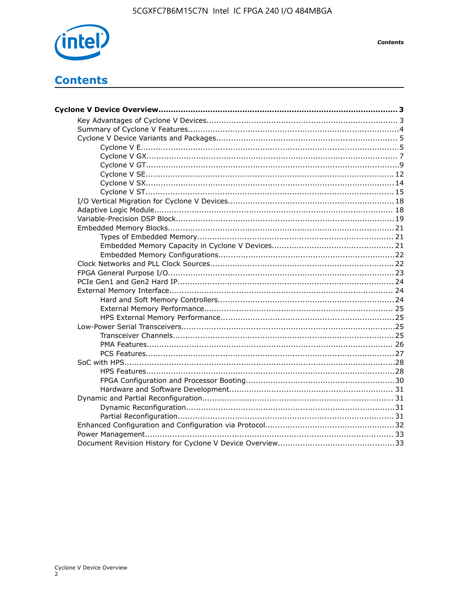

**Contents** 

## **Contents**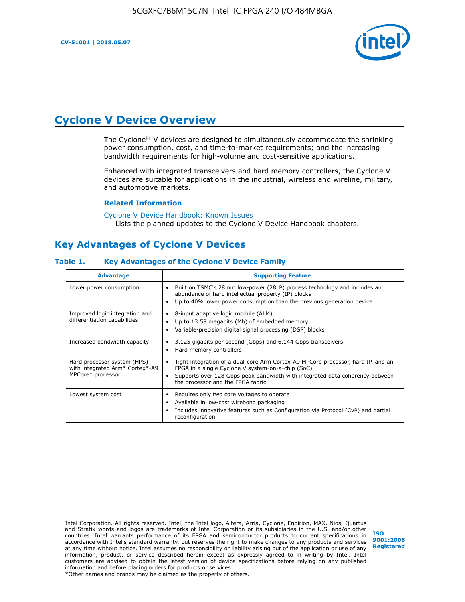**CV-51001 | 2018.05.07**



## **Cyclone V Device Overview**

The Cyclone® V devices are designed to simultaneously accommodate the shrinking power consumption, cost, and time-to-market requirements; and the increasing bandwidth requirements for high-volume and cost-sensitive applications.

Enhanced with integrated transceivers and hard memory controllers, the Cyclone V devices are suitable for applications in the industrial, wireless and wireline, military, and automotive markets.

#### **Related Information**

[Cyclone V Device Handbook: Known Issues](https://www.altera.com/support/support-resources/knowledge-base/solutions/rd12152011_347.html) Lists the planned updates to the Cyclone V Device Handbook chapters.

## **Key Advantages of Cyclone V Devices**

#### **Table 1. Key Advantages of the Cyclone V Device Family**

| <b>Advantage</b>                                                                    | <b>Supporting Feature</b>                                                                                                                                                                                                                                                    |
|-------------------------------------------------------------------------------------|------------------------------------------------------------------------------------------------------------------------------------------------------------------------------------------------------------------------------------------------------------------------------|
| Lower power consumption                                                             | Built on TSMC's 28 nm low-power (28LP) process technology and includes an<br>٠<br>abundance of hard intellectual property (IP) blocks<br>Up to 40% lower power consumption than the previous generation device<br>٠                                                          |
| Improved logic integration and<br>differentiation capabilities                      | 8-input adaptive logic module (ALM)<br>٠<br>Up to 13.59 megabits (Mb) of embedded memory<br>٠<br>Variable-precision digital signal processing (DSP) blocks<br>٠                                                                                                              |
| Increased bandwidth capacity                                                        | 3.125 gigabits per second (Gbps) and 6.144 Gbps transceivers<br>٠<br>Hard memory controllers<br>٠                                                                                                                                                                            |
| Hard processor system (HPS)<br>with integrated Arm* Cortex*-A9<br>MPCore* processor | Tight integration of a dual-core Arm Cortex-A9 MPCore processor, hard IP, and an<br>$\bullet$<br>FPGA in a single Cyclone V system-on-a-chip (SoC)<br>Supports over 128 Gbps peak bandwidth with integrated data coherency between<br>٠<br>the processor and the FPGA fabric |
| Lowest system cost                                                                  | Requires only two core voltages to operate<br>٠<br>Available in low-cost wirebond packaging<br>٠<br>Includes innovative features such as Configuration via Protocol (CvP) and partial<br>٠<br>reconfiguration                                                                |

Intel Corporation. All rights reserved. Intel, the Intel logo, Altera, Arria, Cyclone, Enpirion, MAX, Nios, Quartus and Stratix words and logos are trademarks of Intel Corporation or its subsidiaries in the U.S. and/or other countries. Intel warrants performance of its FPGA and semiconductor products to current specifications in accordance with Intel's standard warranty, but reserves the right to make changes to any products and services at any time without notice. Intel assumes no responsibility or liability arising out of the application or use of any information, product, or service described herein except as expressly agreed to in writing by Intel. Intel customers are advised to obtain the latest version of device specifications before relying on any published information and before placing orders for products or services. \*Other names and brands may be claimed as the property of others.

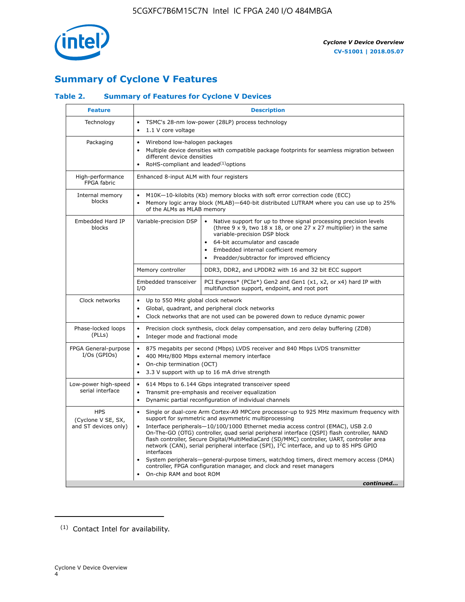

## **Summary of Cyclone V Features**

## **Table 2. Summary of Features for Cyclone V Devices**

| <b>Feature</b>                                           | <b>Description</b>                                                                                                                                                                                                                            |                                                                                                                                                                                                                                                                                                                                                                                                                                                                                                                                                                                                                                                                                                         |  |  |  |  |
|----------------------------------------------------------|-----------------------------------------------------------------------------------------------------------------------------------------------------------------------------------------------------------------------------------------------|---------------------------------------------------------------------------------------------------------------------------------------------------------------------------------------------------------------------------------------------------------------------------------------------------------------------------------------------------------------------------------------------------------------------------------------------------------------------------------------------------------------------------------------------------------------------------------------------------------------------------------------------------------------------------------------------------------|--|--|--|--|
| Technology                                               | $\bullet$<br>1.1 V core voltage<br>$\bullet$                                                                                                                                                                                                  | TSMC's 28-nm low-power (28LP) process technology                                                                                                                                                                                                                                                                                                                                                                                                                                                                                                                                                                                                                                                        |  |  |  |  |
| Packaging                                                | Wirebond low-halogen packages<br>$\bullet$<br>different device densities<br>RoHS-compliant and leaded $(1)$ options                                                                                                                           | Multiple device densities with compatible package footprints for seamless migration between                                                                                                                                                                                                                                                                                                                                                                                                                                                                                                                                                                                                             |  |  |  |  |
| High-performance<br>FPGA fabric                          | Enhanced 8-input ALM with four registers                                                                                                                                                                                                      |                                                                                                                                                                                                                                                                                                                                                                                                                                                                                                                                                                                                                                                                                                         |  |  |  |  |
| Internal memory<br>blocks                                | of the ALMs as MLAB memory                                                                                                                                                                                                                    | M10K-10-kilobits (Kb) memory blocks with soft error correction code (ECC)<br>Memory logic array block (MLAB)-640-bit distributed LUTRAM where you can use up to 25%                                                                                                                                                                                                                                                                                                                                                                                                                                                                                                                                     |  |  |  |  |
| Embedded Hard IP<br>blocks                               | Variable-precision DSP                                                                                                                                                                                                                        | Native support for up to three signal processing precision levels<br>(three $9 \times 9$ , two $18 \times 18$ , or one 27 x 27 multiplier) in the same<br>variable-precision DSP block<br>64-bit accumulator and cascade<br>Embedded internal coefficient memory<br>Preadder/subtractor for improved efficiency                                                                                                                                                                                                                                                                                                                                                                                         |  |  |  |  |
|                                                          | Memory controller                                                                                                                                                                                                                             | DDR3, DDR2, and LPDDR2 with 16 and 32 bit ECC support                                                                                                                                                                                                                                                                                                                                                                                                                                                                                                                                                                                                                                                   |  |  |  |  |
|                                                          | Embedded transceiver<br>I/O                                                                                                                                                                                                                   | PCI Express* (PCIe*) Gen2 and Gen1 (x1, x2, or x4) hard IP with<br>multifunction support, endpoint, and root port                                                                                                                                                                                                                                                                                                                                                                                                                                                                                                                                                                                       |  |  |  |  |
| Clock networks                                           | Up to 550 MHz global clock network<br>$\bullet$<br>$\bullet$                                                                                                                                                                                  | Global, quadrant, and peripheral clock networks<br>Clock networks that are not used can be powered down to reduce dynamic power                                                                                                                                                                                                                                                                                                                                                                                                                                                                                                                                                                         |  |  |  |  |
| Phase-locked loops<br>(PLLs)                             | $\bullet$<br>Integer mode and fractional mode<br>$\bullet$                                                                                                                                                                                    | Precision clock synthesis, clock delay compensation, and zero delay buffering (ZDB)                                                                                                                                                                                                                                                                                                                                                                                                                                                                                                                                                                                                                     |  |  |  |  |
| FPGA General-purpose<br>$I/Os$ (GPIOs)                   | 875 megabits per second (Mbps) LVDS receiver and 840 Mbps LVDS transmitter<br>$\bullet$<br>400 MHz/800 Mbps external memory interface<br>$\bullet$<br>On-chip termination (OCT)<br>3.3 V support with up to 16 mA drive strength<br>$\bullet$ |                                                                                                                                                                                                                                                                                                                                                                                                                                                                                                                                                                                                                                                                                                         |  |  |  |  |
| Low-power high-speed<br>serial interface                 | 614 Mbps to 6.144 Gbps integrated transceiver speed<br>$\bullet$<br>Transmit pre-emphasis and receiver equalization<br>$\bullet$<br>Dynamic partial reconfiguration of individual channels<br>$\bullet$                                       |                                                                                                                                                                                                                                                                                                                                                                                                                                                                                                                                                                                                                                                                                                         |  |  |  |  |
| <b>HPS</b><br>(Cyclone V SE, SX,<br>and ST devices only) | $\bullet$<br>$\bullet$<br>interfaces<br>On-chip RAM and boot ROM                                                                                                                                                                              | Single or dual-core Arm Cortex-A9 MPCore processor-up to 925 MHz maximum frequency with<br>support for symmetric and asymmetric multiprocessing<br>Interface peripherals-10/100/1000 Ethernet media access control (EMAC), USB 2.0<br>On-The-GO (OTG) controller, quad serial peripheral interface (QSPI) flash controller, NAND<br>flash controller, Secure Digital/MultiMediaCard (SD/MMC) controller, UART, controller area<br>network (CAN), serial peripheral interface (SPI), I <sup>2</sup> C interface, and up to 85 HPS GPIO<br>System peripherals—general-purpose timers, watchdog timers, direct memory access (DMA)<br>controller, FPGA configuration manager, and clock and reset managers |  |  |  |  |
|                                                          |                                                                                                                                                                                                                                               | continued                                                                                                                                                                                                                                                                                                                                                                                                                                                                                                                                                                                                                                                                                               |  |  |  |  |

<sup>(1)</sup> Contact Intel for availability.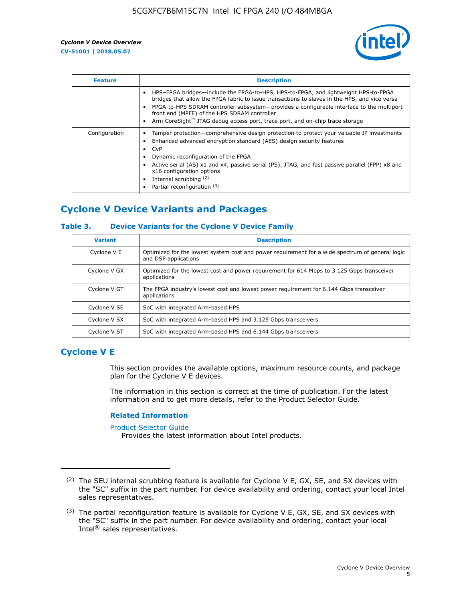

| <b>Feature</b> | <b>Description</b>                                                                                                                                                                                                                                                                                                                                                                                                           |
|----------------|------------------------------------------------------------------------------------------------------------------------------------------------------------------------------------------------------------------------------------------------------------------------------------------------------------------------------------------------------------------------------------------------------------------------------|
|                | HPS-FPGA bridges—include the FPGA-to-HPS, HPS-to-FPGA, and lightweight HPS-to-FPGA<br>bridges that allow the FPGA fabric to issue transactions to slaves in the HPS, and vice versa<br>FPGA-to-HPS SDRAM controller subsystem—provides a configurable interface to the multiport<br>front end (MPFE) of the HPS SDRAM controller<br>Arm CoreSight <sup>™</sup> JTAG debug access port, trace port, and on-chip trace storage |
| Configuration  | Tamper protection—comprehensive design protection to protect your valuable IP investments<br>Enhanced advanced encryption standard (AES) design security features<br>CvP<br>$\bullet$<br>Dynamic reconfiguration of the FPGA<br>Active serial (AS) x1 and x4, passive serial (PS), JTAG, and fast passive parallel (FPP) x8 and<br>x16 configuration options<br>Internal scrubbing (2)<br>Partial reconfiguration (3)        |

## **Cyclone V Device Variants and Packages**

#### **Table 3. Device Variants for the Cyclone V Device Family**

| <b>Variant</b> | <b>Description</b>                                                                                                      |
|----------------|-------------------------------------------------------------------------------------------------------------------------|
| Cyclone V E    | Optimized for the lowest system cost and power requirement for a wide spectrum of general logic<br>and DSP applications |
| Cyclone V GX   | Optimized for the lowest cost and power requirement for 614 Mbps to 3.125 Gbps transceiver<br>applications              |
| Cyclone V GT   | The FPGA industry's lowest cost and lowest power requirement for 6.144 Gbps transceiver<br>applications                 |
| Cyclone V SE   | SoC with integrated Arm-based HPS                                                                                       |
| Cyclone V SX   | SoC with integrated Arm-based HPS and 3.125 Gbps transceivers                                                           |
| Cyclone V ST   | SoC with integrated Arm-based HPS and 6.144 Gbps transceivers                                                           |

## **Cyclone V E**

This section provides the available options, maximum resource counts, and package plan for the Cyclone V E devices.

The information in this section is correct at the time of publication. For the latest information and to get more details, refer to the Product Selector Guide.

#### **Related Information**

[Product Selector Guide](https://www.altera.com/products/product-selector-guide.html)

Provides the latest information about Intel products.

<sup>(2)</sup> The SEU internal scrubbing feature is available for Cyclone V E, GX, SE, and SX devices with the "SC" suffix in the part number. For device availability and ordering, contact your local Intel sales representatives.

 $(3)$  The partial reconfiguration feature is available for Cyclone V E, GX, SE, and SX devices with the "SC" suffix in the part number. For device availability and ordering, contact your local Intel® sales representatives.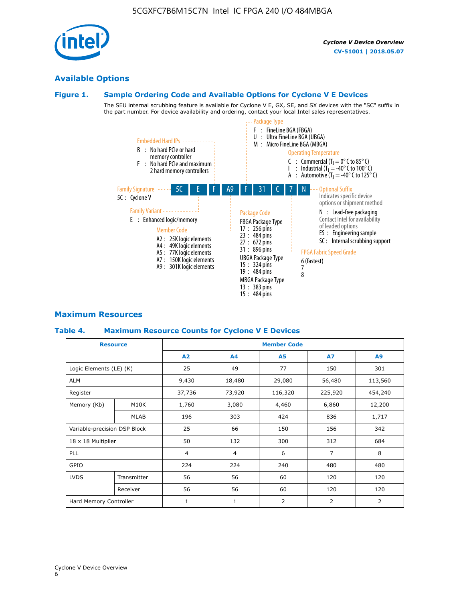Cyclone V Device Overview

6

# **Available Options**

## **Figure 1. Sample Ordering Code and Available Options for Cyclone V E Devices**

The SEU internal scrubbing feature is available for Cyclone V E, GX, SE, and SX devices with the "SC" suffix in the part number. For device availability and ordering, contact your local Intel sales representatives.



## **Maximum Resources**

#### **Table 4. Maximum Resource Counts for Cyclone V E Devices**

| <b>Resource</b>         |                              | <b>Member Code</b> |                |            |                |         |  |  |
|-------------------------|------------------------------|--------------------|----------------|------------|----------------|---------|--|--|
|                         |                              | A2                 | A4             | <b>A5</b>  | <b>A7</b>      | A9      |  |  |
| Logic Elements (LE) (K) |                              | 25                 | 49             | 77         | 150            | 301     |  |  |
| <b>ALM</b>              |                              | 9,430              | 18,480         | 29,080     | 56,480         | 113,560 |  |  |
| Register                |                              |                    | 73,920         | 116,320    | 225,920        | 454,240 |  |  |
| Memory (Kb)             | M10K                         | 1,760              | 3,080          | 4,460      | 6,860          | 12,200  |  |  |
|                         | MLAB                         | 196                | 303            | 424        | 836            | 1,717   |  |  |
|                         | Variable-precision DSP Block |                    | 66             | 150        | 156            | 342     |  |  |
| 18 x 18 Multiplier      |                              | 50                 | 132            | 300        | 312            | 684     |  |  |
| PLL                     |                              | $\overline{4}$     | $\overline{4}$ | 6          | $\overline{7}$ | 8       |  |  |
| GPIO                    |                              | 224                | 224            | 240<br>480 |                | 480     |  |  |
| <b>LVDS</b>             | Transmitter                  | 56                 | 56             | 60         | 120            | 120     |  |  |
|                         | Receiver                     | 56                 | 56             | 60         | 120            | 120     |  |  |
| Hard Memory Controller  |                              | $\mathbf{1}$       | $\mathbf{1}$   | 2          | $\overline{2}$ | 2       |  |  |

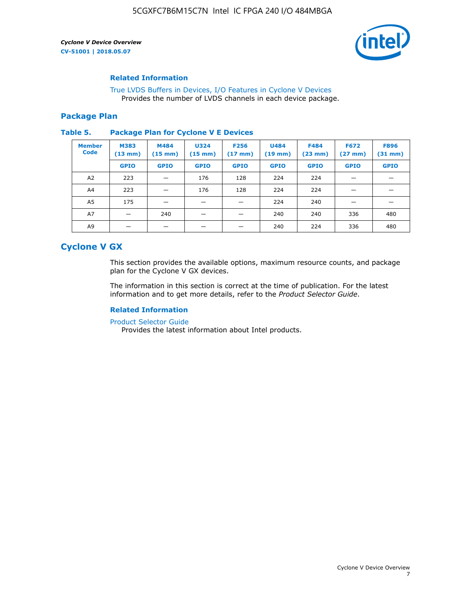

#### **Related Information**

[True LVDS Buffers in Devices, I/O Features in Cyclone V Devices](https://www.altera.com/documentation/sam1403481100977.html#sam1403480885395) Provides the number of LVDS channels in each device package.

#### **Package Plan**

#### **Table 5. Package Plan for Cyclone V E Devices**

| <b>Member</b><br><b>Code</b> | <b>M383</b><br>$(13 \text{ mm})$ | M484<br>$(15 \text{ mm})$ | <b>U324</b><br>$(15 \text{ mm})$ | <b>F256</b><br>$(17 \text{ mm})$ | <b>U484</b><br>$(19$ mm) | <b>F484</b><br>$(23$ mm $)$ | <b>F672</b><br>$(27 \, \text{mm})$ | <b>F896</b><br>$(31$ mm $)$ |
|------------------------------|----------------------------------|---------------------------|----------------------------------|----------------------------------|--------------------------|-----------------------------|------------------------------------|-----------------------------|
|                              | <b>GPIO</b>                      | <b>GPIO</b>               | <b>GPIO</b>                      | <b>GPIO</b>                      | <b>GPIO</b>              | <b>GPIO</b>                 | <b>GPIO</b>                        | <b>GPIO</b>                 |
| A2                           | 223                              |                           | 176                              | 128                              | 224                      | 224                         | –                                  |                             |
| A4                           | 223                              |                           | 176                              | 128                              | 224                      | 224                         | –                                  |                             |
| A5                           | 175                              |                           |                                  |                                  | 224                      | 240                         |                                    |                             |
| A7                           |                                  | 240                       |                                  |                                  | 240                      | 240                         | 336                                | 480                         |
| A9                           |                                  |                           |                                  |                                  | 240                      | 224                         | 336                                | 480                         |

## **Cyclone V GX**

This section provides the available options, maximum resource counts, and package plan for the Cyclone V GX devices.

The information in this section is correct at the time of publication. For the latest information and to get more details, refer to the *Product Selector Guide*.

#### **Related Information**

[Product Selector Guide](https://www.altera.com/products/product-selector-guide.html)

Provides the latest information about Intel products.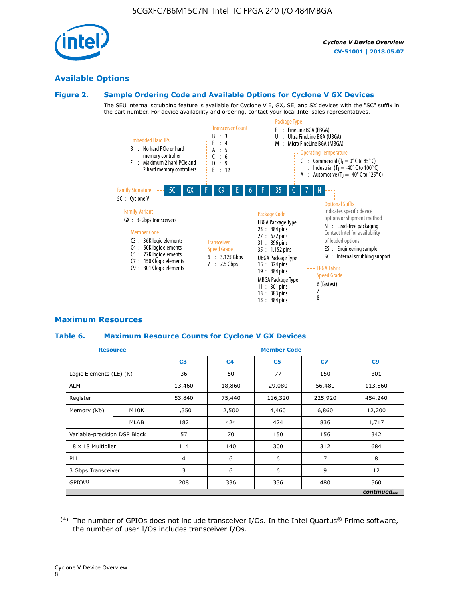

#### **Available Options**

#### **Figure 2. Sample Ordering Code and Available Options for Cyclone V GX Devices**

The SEU internal scrubbing feature is available for Cyclone V E, GX, SE, and SX devices with the "SC" suffix in the part number. For device availability and ordering, contact your local Intel sales representatives.



#### **Maximum Resources**

#### **Table 6. Maximum Resource Counts for Cyclone V GX Devices**

| <b>Resource</b>              |             |                | <b>Member Code</b> |                |         |           |   |   |  |
|------------------------------|-------------|----------------|--------------------|----------------|---------|-----------|---|---|--|
|                              |             | C <sub>3</sub> | C <sub>4</sub>     | C <sub>5</sub> | C7      | C9        |   |   |  |
| Logic Elements (LE) (K)      |             | 36             | 50                 | 77             | 150     | 301       |   |   |  |
| <b>ALM</b>                   |             | 13,460         | 18,860             | 29,080         | 56,480  | 113,560   |   |   |  |
| Register                     |             |                | 75,440             | 116,320        | 225,920 | 454,240   |   |   |  |
| Memory (Kb)                  | M10K        | 1,350          | 2,500              | 4,460          | 6,860   | 12,200    |   |   |  |
|                              | <b>MLAB</b> | 182            | 424                | 424            | 836     | 1,717     |   |   |  |
| Variable-precision DSP Block |             | 57             | 70                 | 150            | 156     | 342       |   |   |  |
| 18 x 18 Multiplier           |             | 114            | 140                | 300            | 312     | 684       |   |   |  |
| <b>PLL</b>                   |             |                |                    |                | 6       | 6         | 7 | 8 |  |
| 3 Gbps Transceiver           |             | 3              | 6                  | 6<br>9         |         | 12        |   |   |  |
| GPIO <sup>(4)</sup>          |             | 208            | 336                | 336            | 480     | 560       |   |   |  |
|                              |             |                |                    |                |         | continued |   |   |  |

 $(4)$  The number of GPIOs does not include transceiver I/Os. In the Intel Quartus® Prime software, the number of user I/Os includes transceiver I/Os.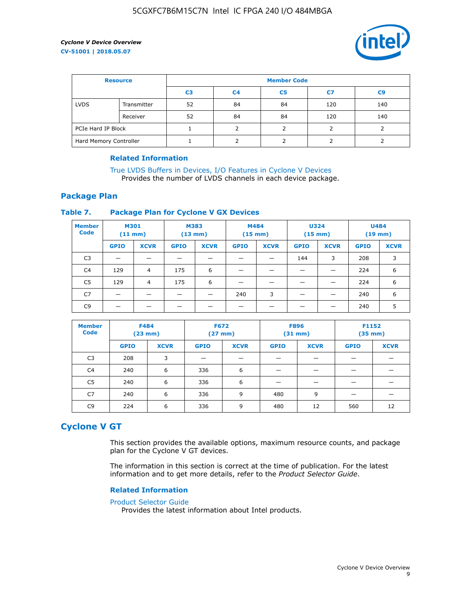

| <b>Resource</b>        |             | <b>Member Code</b> |                |                |     |                |  |  |
|------------------------|-------------|--------------------|----------------|----------------|-----|----------------|--|--|
|                        |             | C <sub>3</sub>     | C <sub>4</sub> | C <sub>5</sub> | C7  | C <sub>9</sub> |  |  |
| <b>LVDS</b>            | Transmitter | 52                 | 84             | 84             | 120 | 140            |  |  |
|                        | Receiver    | 52                 | 84             | 84             | 120 | 140            |  |  |
| PCIe Hard IP Block     |             |                    |                |                |     |                |  |  |
| Hard Memory Controller |             |                    | h              |                |     |                |  |  |

#### **Related Information**

[True LVDS Buffers in Devices, I/O Features in Cyclone V Devices](https://www.altera.com/documentation/sam1403481100977.html#sam1403480885395) Provides the number of LVDS channels in each device package.

#### **Package Plan**

#### **Table 7. Package Plan for Cyclone V GX Devices**

| <b>Member</b><br><b>Code</b> | <b>M301</b><br>$(11$ mm) |                | <b>M383</b><br>$(13 \text{ mm})$ |             | M484        | $(15 \text{ mm})$ | <b>U324</b><br>$(15 \text{ mm})$ |             | <b>U484</b><br>$(19$ mm) |             |
|------------------------------|--------------------------|----------------|----------------------------------|-------------|-------------|-------------------|----------------------------------|-------------|--------------------------|-------------|
|                              | <b>GPIO</b>              | <b>XCVR</b>    | <b>GPIO</b>                      | <b>XCVR</b> | <b>GPIO</b> | <b>XCVR</b>       | <b>GPIO</b>                      | <b>XCVR</b> | <b>GPIO</b>              | <b>XCVR</b> |
| C <sub>3</sub>               |                          |                |                                  |             |             |                   | 144                              | 3           | 208                      | 3           |
| C <sub>4</sub>               | 129                      | $\overline{4}$ | 175                              | 6           |             |                   | –                                |             | 224                      | 6           |
| C5                           | 129                      | 4              | 175                              | 6           |             |                   |                                  |             | 224                      | 6           |
| C7                           | _                        |                |                                  |             | 240         | 3                 |                                  |             | 240                      | 6           |
| C <sub>9</sub>               |                          |                |                                  |             |             |                   |                                  |             | 240                      | 5           |

| <b>Member</b><br><b>Code</b> | <b>F484</b> | $(23$ mm)   |             | <b>F672</b><br><b>F896</b><br>$(27$ mm $)$<br>$(31 \text{ mm})$ |             |             | F1152<br>$(35 \text{ mm})$ |             |
|------------------------------|-------------|-------------|-------------|-----------------------------------------------------------------|-------------|-------------|----------------------------|-------------|
|                              | <b>GPIO</b> | <b>XCVR</b> | <b>GPIO</b> | <b>XCVR</b>                                                     | <b>GPIO</b> | <b>XCVR</b> | <b>GPIO</b>                | <b>XCVR</b> |
| C <sub>3</sub>               | 208         | 3           |             |                                                                 |             |             |                            |             |
| C4                           | 240         | 6           | 336         | 6                                                               |             |             |                            |             |
| C5                           | 240         | 6           | 336         | 6                                                               |             |             |                            |             |
| C <sub>7</sub>               | 240         | 6           | 336         | 9                                                               | 480         | 9           |                            |             |
| C <sub>9</sub>               | 224         | 6           | 336         | 9                                                               | 480         | 12          | 560                        | 12          |

## **Cyclone V GT**

This section provides the available options, maximum resource counts, and package plan for the Cyclone V GT devices.

The information in this section is correct at the time of publication. For the latest information and to get more details, refer to the *Product Selector Guide*.

#### **Related Information**

#### [Product Selector Guide](https://www.altera.com/products/product-selector-guide.html)

Provides the latest information about Intel products.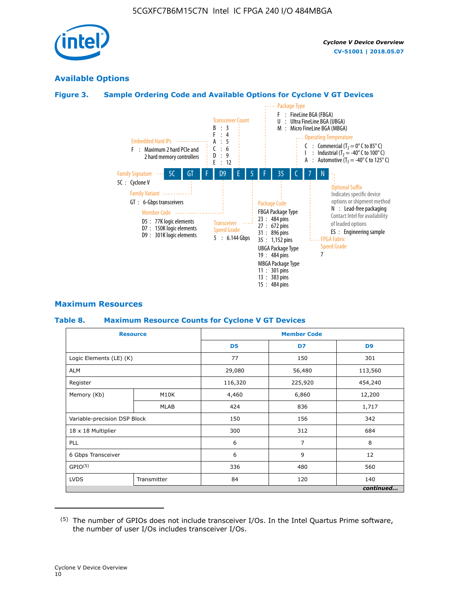

## **Available Options**

#### **Figure 3. Sample Ordering Code and Available Options for Cyclone V GT Devices**



#### **Maximum Resources**

#### **Table 8. Maximum Resource Counts for Cyclone V GT Devices**

|                              | <b>Resource</b> | <b>Member Code</b> |         |                |  |  |  |
|------------------------------|-----------------|--------------------|---------|----------------|--|--|--|
|                              |                 | D <sub>5</sub>     | D7      | D <sub>9</sub> |  |  |  |
| Logic Elements (LE) (K)      |                 | 77                 | 150     | 301            |  |  |  |
| <b>ALM</b>                   |                 | 29,080             | 56,480  | 113,560        |  |  |  |
| Register                     |                 | 116,320            | 225,920 | 454,240        |  |  |  |
| Memory (Kb)                  | M10K            | 4,460              | 6,860   | 12,200         |  |  |  |
|                              | <b>MLAB</b>     | 424                | 836     | 1,717          |  |  |  |
| Variable-precision DSP Block |                 | 150                | 156     | 342            |  |  |  |
| 18 x 18 Multiplier           |                 | 300                | 312     | 684            |  |  |  |
| PLL                          |                 | 6                  | 7       | 8              |  |  |  |
| 6 Gbps Transceiver           |                 | 6                  | 9       | 12             |  |  |  |
| GPIO <sup>(5)</sup>          |                 | 336                | 480     |                |  |  |  |
| <b>LVDS</b>                  | Transmitter     | 84                 | 120     | 140            |  |  |  |
|                              |                 |                    |         | continued      |  |  |  |

<sup>(5)</sup> The number of GPIOs does not include transceiver I/Os. In the Intel Quartus Prime software, the number of user I/Os includes transceiver I/Os.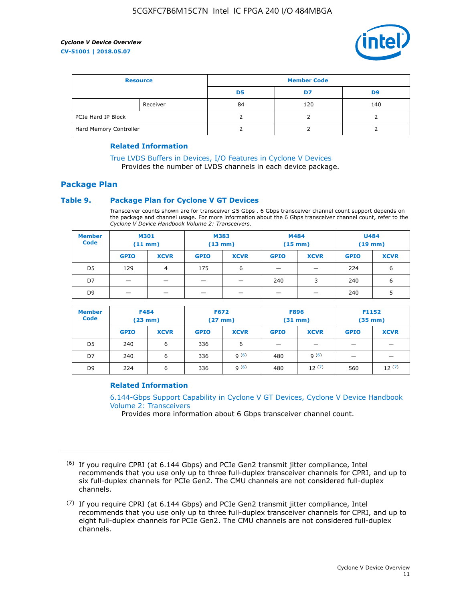

| <b>Resource</b>        |          | <b>Member Code</b> |     |     |  |  |
|------------------------|----------|--------------------|-----|-----|--|--|
|                        |          | D5                 | D7  | D9  |  |  |
|                        | Receiver | 84                 | 120 | 140 |  |  |
| PCIe Hard IP Block     |          |                    |     |     |  |  |
| Hard Memory Controller |          |                    |     |     |  |  |

#### **Related Information**

[True LVDS Buffers in Devices, I/O Features in Cyclone V Devices](https://www.altera.com/documentation/sam1403481100977.html#sam1403480885395) Provides the number of LVDS channels in each device package.

## **Package Plan**

#### **Table 9. Package Plan for Cyclone V GT Devices**

Transceiver counts shown are for transceiver ≤5 Gbps . 6 Gbps transceiver channel count support depends on the package and channel usage. For more information about the 6 Gbps transceiver channel count, refer to the *Cyclone V Device Handbook Volume 2: Transceivers*.

| <b>Member</b><br><b>Code</b> | <b>M301</b><br>(11 mm) |                | M383<br>$(13 \text{ mm})$ |             | M484<br>$(15 \text{ mm})$ |             | <b>U484</b><br>$(19$ mm) |             |
|------------------------------|------------------------|----------------|---------------------------|-------------|---------------------------|-------------|--------------------------|-------------|
|                              | <b>GPIO</b>            | <b>XCVR</b>    | <b>GPIO</b>               | <b>XCVR</b> | <b>GPIO</b>               | <b>XCVR</b> | <b>GPIO</b>              | <b>XCVR</b> |
| D5                           | 129                    | $\overline{4}$ | 175                       | 6           | -                         |             | 224                      | 6           |
| D7                           | -                      |                |                           |             | 240                       | 3           | 240                      | 6           |
| D <sub>9</sub>               | -                      | _              |                           |             | _                         |             | 240                      | 5           |

| <b>Member</b><br><b>Code</b> | <b>F484</b><br>$(23$ mm $)$ |             | <b>F672</b><br>$(27 \text{ mm})$ |             | <b>F896</b><br>$(31$ mm $)$ |             | F1152<br>$(35$ mm $)$ |             |
|------------------------------|-----------------------------|-------------|----------------------------------|-------------|-----------------------------|-------------|-----------------------|-------------|
|                              | <b>GPIO</b>                 | <b>XCVR</b> | <b>GPIO</b>                      | <b>XCVR</b> | <b>GPIO</b>                 | <b>XCVR</b> | <b>GPIO</b>           | <b>XCVR</b> |
| D <sub>5</sub>               | 240                         | 6           | 336                              | 6           | -                           |             |                       |             |
| D7                           | 240                         | 6           | 336                              | q(6)        | 480                         | q(6)        | -                     | _           |
| D <sub>9</sub>               | 224                         | 6           | 336                              | q(6)        | 480                         | 12(7)       | 560                   | 12(7)       |

#### **Related Information**

[6.144-Gbps Support Capability in Cyclone V GT Devices, Cyclone V Device Handbook](https://www.altera.com/documentation/nik1409855456781.html#nik1409855410757) [Volume 2: Transceivers](https://www.altera.com/documentation/nik1409855456781.html#nik1409855410757)

Provides more information about 6 Gbps transceiver channel count.

<sup>(6)</sup> If you require CPRI (at 6.144 Gbps) and PCIe Gen2 transmit jitter compliance, Intel recommends that you use only up to three full-duplex transceiver channels for CPRI, and up to six full-duplex channels for PCIe Gen2. The CMU channels are not considered full-duplex channels.

 $(7)$  If you require CPRI (at 6.144 Gbps) and PCIe Gen2 transmit jitter compliance, Intel recommends that you use only up to three full-duplex transceiver channels for CPRI, and up to eight full-duplex channels for PCIe Gen2. The CMU channels are not considered full-duplex channels.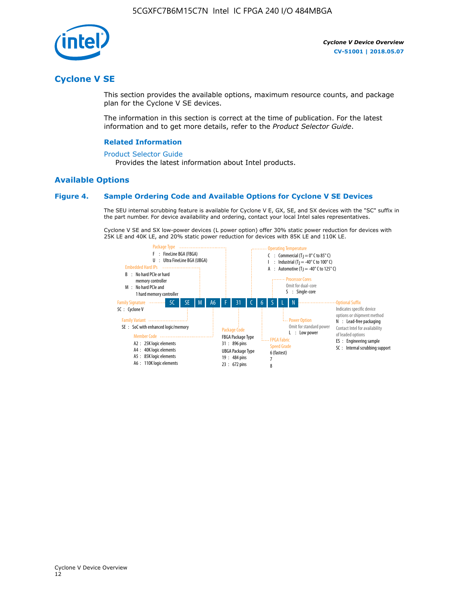

## **Cyclone V SE**

This section provides the available options, maximum resource counts, and package plan for the Cyclone V SE devices.

The information in this section is correct at the time of publication. For the latest information and to get more details, refer to the *Product Selector Guide*.

#### **Related Information**

#### [Product Selector Guide](https://www.altera.com/products/product-selector-guide.html)

Provides the latest information about Intel products.

#### **Available Options**

#### **Figure 4. Sample Ordering Code and Available Options for Cyclone V SE Devices**

The SEU internal scrubbing feature is available for Cyclone V E, GX, SE, and SX devices with the "SC" suffix in the part number. For device availability and ordering, contact your local Intel sales representatives.

Cyclone V SE and SX low-power devices (L power option) offer 30% static power reduction for devices with 25K LE and 40K LE, and 20% static power reduction for devices with 85K LE and 110K LE.

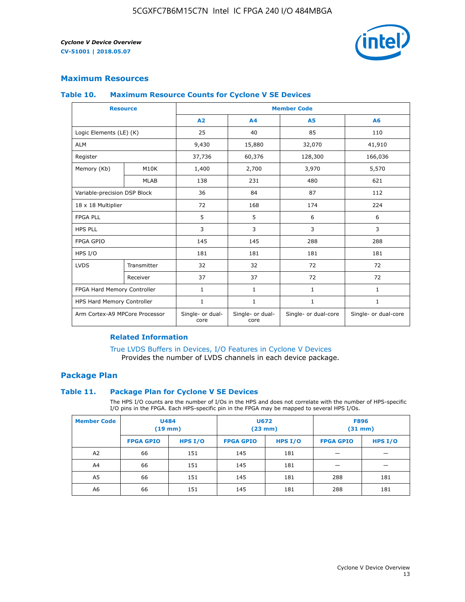

### **Maximum Resources**

#### **Table 10. Maximum Resource Counts for Cyclone V SE Devices**

|                                | <b>Resource</b> | <b>Member Code</b>       |                          |                      |                      |  |
|--------------------------------|-----------------|--------------------------|--------------------------|----------------------|----------------------|--|
|                                |                 | A <sub>2</sub>           | A <sub>4</sub>           | <b>A5</b>            | A6                   |  |
| Logic Elements (LE) (K)        |                 | 25                       | 40                       | 85                   | 110                  |  |
| <b>ALM</b>                     |                 | 9,430                    | 15,880                   | 32,070               | 41,910               |  |
| Register                       |                 | 37,736                   | 60,376                   | 128,300              | 166,036              |  |
| Memory (Kb)                    | M10K            | 1,400                    | 2,700                    | 3,970                | 5,570                |  |
|                                | <b>MLAB</b>     | 138                      | 231                      | 480                  | 621                  |  |
| Variable-precision DSP Block   |                 | 36                       | 84                       | 87                   | 112                  |  |
| 18 x 18 Multiplier             |                 | 72                       | 168                      | 174                  | 224                  |  |
| <b>FPGA PLL</b>                |                 | 5                        | 5                        | 6                    | 6                    |  |
| <b>HPS PLL</b>                 |                 | 3                        | 3                        | 3                    | 3                    |  |
| <b>FPGA GPIO</b>               |                 | 145                      | 145                      | 288                  | 288                  |  |
| HPS I/O                        |                 | 181                      | 181                      | 181                  | 181                  |  |
| <b>LVDS</b>                    | Transmitter     | 32                       | 32                       | 72                   | 72                   |  |
|                                | Receiver        | 37                       | 37                       | 72                   | 72                   |  |
| FPGA Hard Memory Controller    |                 | 1                        | $\mathbf{1}$             | $\mathbf{1}$         | $\mathbf{1}$         |  |
| HPS Hard Memory Controller     |                 | $\mathbf{1}$             | $\mathbf{1}$             | $\mathbf{1}$         | $\mathbf{1}$         |  |
| Arm Cortex-A9 MPCore Processor |                 | Single- or dual-<br>core | Single- or dual-<br>core | Single- or dual-core | Single- or dual-core |  |

#### **Related Information**

[True LVDS Buffers in Devices, I/O Features in Cyclone V Devices](https://www.altera.com/documentation/sam1403481100977.html#sam1403480885395) Provides the number of LVDS channels in each device package.

#### **Package Plan**

#### **Table 11. Package Plan for Cyclone V SE Devices**

The HPS I/O counts are the number of I/Os in the HPS and does not correlate with the number of HPS-specific I/O pins in the FPGA. Each HPS-specific pin in the FPGA may be mapped to several HPS I/Os.

| <b>Member Code</b> | <b>U484</b><br>$(19$ mm) |           | <b>U672</b><br>(23 mm) |         | <b>F896</b><br>$(31$ mm $)$ |           |
|--------------------|--------------------------|-----------|------------------------|---------|-----------------------------|-----------|
|                    | <b>FPGA GPIO</b>         | HPS $I/O$ | <b>FPGA GPIO</b>       | HPS I/O | <b>FPGA GPIO</b>            | HPS $I/O$ |
| A <sub>2</sub>     | 66                       | 151       | 145                    | 181     |                             |           |
| A4                 | 66                       | 151       | 145                    | 181     |                             |           |
| A <sub>5</sub>     | 66                       | 151       | 145                    | 181     | 288                         | 181       |
| A6                 | 66                       | 151       | 145                    | 181     | 288                         | 181       |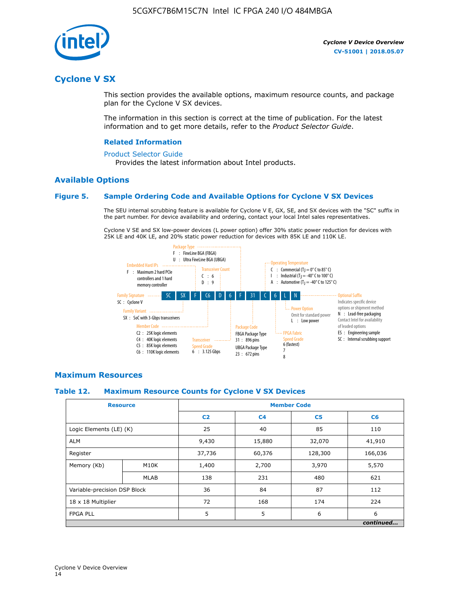

## **Cyclone V SX**

This section provides the available options, maximum resource counts, and package plan for the Cyclone V SX devices.

The information in this section is correct at the time of publication. For the latest information and to get more details, refer to the *Product Selector Guide*.

#### **Related Information**

#### [Product Selector Guide](https://www.altera.com/products/product-selector-guide.html)

Provides the latest information about Intel products.

#### **Available Options**

#### **Figure 5. Sample Ordering Code and Available Options for Cyclone V SX Devices**

The SEU internal scrubbing feature is available for Cyclone V E, GX, SE, and SX devices with the "SC" suffix in the part number. For device availability and ordering, contact your local Intel sales representatives.

Cyclone V SE and SX low-power devices (L power option) offer 30% static power reduction for devices with 25K LE and 40K LE, and 20% static power reduction for devices with 85K LE and 110K LE.



#### **Maximum Resources**

#### **Table 12. Maximum Resource Counts for Cyclone V SX Devices**

|                              | <b>Resource</b> | <b>Member Code</b> |                |                |           |  |
|------------------------------|-----------------|--------------------|----------------|----------------|-----------|--|
|                              |                 | C <sub>2</sub>     | C <sub>4</sub> | C <sub>5</sub> | C6        |  |
| Logic Elements (LE) (K)      |                 | 25                 | 40             | 85             | 110       |  |
| <b>ALM</b>                   |                 | 9,430              | 15,880         | 32,070         | 41,910    |  |
| Register                     |                 | 37,736             | 60,376         | 128,300        | 166,036   |  |
| Memory (Kb)                  | M10K            | 1,400              | 2,700          | 3,970          | 5,570     |  |
|                              | <b>MLAB</b>     | 138                | 231            | 480            | 621       |  |
| Variable-precision DSP Block |                 | 36                 | 84             | 87             | 112       |  |
| 18 x 18 Multiplier           |                 | 72                 | 168            | 174            | 224       |  |
| <b>FPGA PLL</b>              |                 | 5                  | 5              | 6              | 6         |  |
|                              |                 |                    |                |                | continued |  |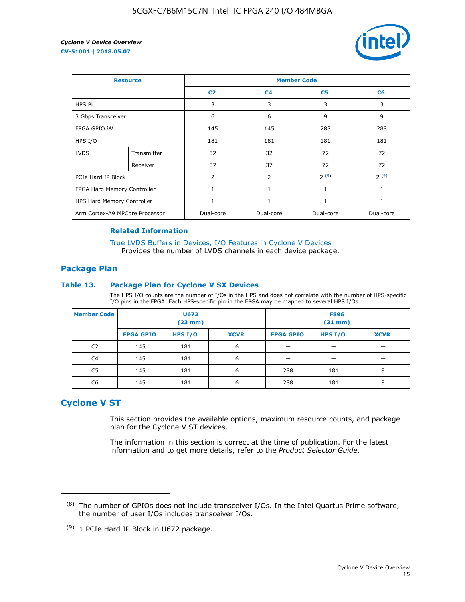

| <b>Resource</b>                |             | <b>Member Code</b> |                |                |                |  |  |
|--------------------------------|-------------|--------------------|----------------|----------------|----------------|--|--|
|                                |             | C <sub>2</sub>     | C <sub>4</sub> | C <sub>5</sub> | C <sub>6</sub> |  |  |
| <b>HPS PLL</b>                 |             | 3                  | 3              | 3              | 3              |  |  |
| 3 Gbps Transceiver             |             | 6                  | 6              | 9              | 9              |  |  |
| FPGA GPIO <sup>(8)</sup>       |             | 145                | 145            | 288            | 288            |  |  |
| HPS I/O                        |             | 181                | 181            | 181            | 181            |  |  |
| <b>LVDS</b>                    | Transmitter | 32                 | 32             | 72             | 72             |  |  |
|                                | Receiver    | 37                 | 37             | 72             | 72             |  |  |
| PCIe Hard IP Block             |             | $\overline{2}$     | 2              | 2(9)           | 2(9)           |  |  |
| FPGA Hard Memory Controller    |             | 1                  | $\mathbf{1}$   | $\mathbf{1}$   | $\mathbf{1}$   |  |  |
| HPS Hard Memory Controller     |             |                    | $\mathbf{1}$   | 1              | 1              |  |  |
| Arm Cortex-A9 MPCore Processor |             | Dual-core          | Dual-core      | Dual-core      | Dual-core      |  |  |

#### **Related Information**

[True LVDS Buffers in Devices, I/O Features in Cyclone V Devices](https://www.altera.com/documentation/sam1403481100977.html#sam1403480885395) Provides the number of LVDS channels in each device package.

#### **Package Plan**

#### **Table 13. Package Plan for Cyclone V SX Devices**

The HPS I/O counts are the number of I/Os in the HPS and does not correlate with the number of HPS-specific I/O pins in the FPGA. Each HPS-specific pin in the FPGA may be mapped to several HPS I/Os.

| <b>Member Code</b> | U672<br>(23 mm)  |           | <b>F896</b><br>$(31$ mm $)$ |                  |         |             |
|--------------------|------------------|-----------|-----------------------------|------------------|---------|-------------|
|                    | <b>FPGA GPIO</b> | HPS $I/O$ | <b>XCVR</b>                 | <b>FPGA GPIO</b> | HPS I/O | <b>XCVR</b> |
| C <sub>2</sub>     | 145              | 181       | 6                           |                  |         |             |
| C4                 | 145              | 181       | 6                           |                  |         |             |
| C <sub>5</sub>     | 145              | 181       | 6                           | 288              | 181     | 9           |
| C6                 | 145              | 181       | 6                           | 288              | 181     | 9           |

## **Cyclone V ST**

This section provides the available options, maximum resource counts, and package plan for the Cyclone V ST devices.

The information in this section is correct at the time of publication. For the latest information and to get more details, refer to the *Product Selector Guide*.

 $(8)$  The number of GPIOs does not include transceiver I/Os. In the Intel Quartus Prime software, the number of user I/Os includes transceiver I/Os.

<sup>(9)</sup> 1 PCIe Hard IP Block in U672 package.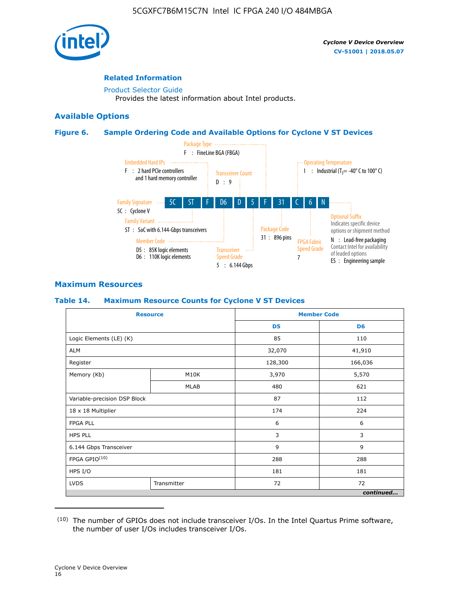

#### **Related Information**

[Product Selector Guide](https://www.altera.com/products/product-selector-guide.html) Provides the latest information about Intel products.

#### **Available Options**

#### **Figure 6. Sample Ordering Code and Available Options for Cyclone V ST Devices**



#### **Maximum Resources**

#### **Table 14. Maximum Resource Counts for Cyclone V ST Devices**

| <b>Resource</b>              |             |                | <b>Member Code</b> |
|------------------------------|-------------|----------------|--------------------|
|                              |             | D <sub>5</sub> | D <sub>6</sub>     |
| Logic Elements (LE) (K)      |             | 85             | 110                |
| <b>ALM</b>                   |             | 32,070         | 41,910             |
| Register                     |             | 128,300        | 166,036            |
| Memory (Kb)                  | M10K        | 3,970          | 5,570              |
|                              | <b>MLAB</b> | 480            | 621                |
| Variable-precision DSP Block |             | 87             | 112                |
| 18 x 18 Multiplier           |             | 174            | 224                |
| <b>FPGA PLL</b>              |             | 6              | 6                  |
| <b>HPS PLL</b>               |             | 3              | 3                  |
| 6.144 Gbps Transceiver       |             | 9              | 9                  |
| FPGA GPIO(10)                |             | 288            | 288                |
| HPS I/O                      |             | 181            | 181                |
| <b>LVDS</b><br>Transmitter   |             | 72             | 72                 |
|                              |             |                | continued          |

<sup>(10)</sup> The number of GPIOs does not include transceiver I/Os. In the Intel Quartus Prime software, the number of user I/Os includes transceiver I/Os.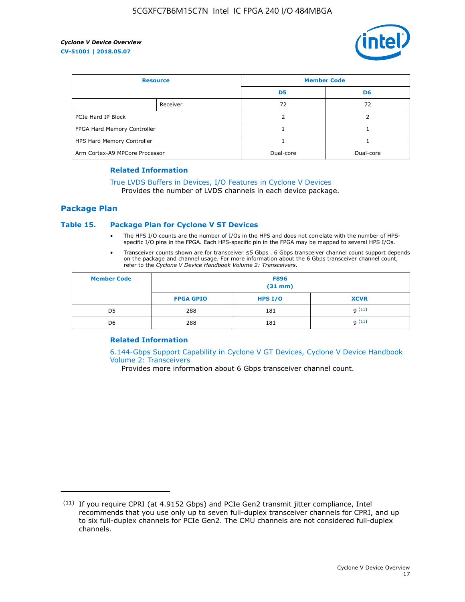

| <b>Resource</b>                |          | <b>Member Code</b> |                |  |
|--------------------------------|----------|--------------------|----------------|--|
|                                |          | D <sub>5</sub>     | D <sub>6</sub> |  |
|                                | Receiver | 72                 | 72             |  |
| PCIe Hard IP Block             |          |                    |                |  |
| FPGA Hard Memory Controller    |          |                    |                |  |
| HPS Hard Memory Controller     |          |                    |                |  |
| Arm Cortex-A9 MPCore Processor |          | Dual-core          | Dual-core      |  |

#### **Related Information**

## [True LVDS Buffers in Devices, I/O Features in Cyclone V Devices](https://www.altera.com/documentation/sam1403481100977.html#sam1403480885395)

Provides the number of LVDS channels in each device package.

#### **Package Plan**

#### **Table 15. Package Plan for Cyclone V ST Devices**

- The HPS I/O counts are the number of I/Os in the HPS and does not correlate with the number of HPSspecific I/O pins in the FPGA. Each HPS-specific pin in the FPGA may be mapped to several HPS I/Os.
- Transceiver counts shown are for transceiver ≤5 Gbps . 6 Gbps transceiver channel count support depends on the package and channel usage. For more information about the 6 Gbps transceiver channel count, refer to the *Cyclone V Device Handbook Volume 2: Transceivers*.

| <b>Member Code</b> | <b>F896</b><br>$(31$ mm $)$ |           |             |  |  |
|--------------------|-----------------------------|-----------|-------------|--|--|
|                    | <b>FPGA GPIO</b>            | HPS $I/O$ | <b>XCVR</b> |  |  |
| D <sub>5</sub>     | 288                         | 181       | 9(11)       |  |  |
| D <sub>6</sub>     | 288                         | 181       | q(11)       |  |  |

#### **Related Information**

[6.144-Gbps Support Capability in Cyclone V GT Devices, Cyclone V Device Handbook](https://www.altera.com/documentation/nik1409855456781.html#nik1409855410757) [Volume 2: Transceivers](https://www.altera.com/documentation/nik1409855456781.html#nik1409855410757)

Provides more information about 6 Gbps transceiver channel count.

<sup>(11)</sup> If you require CPRI (at 4.9152 Gbps) and PCIe Gen2 transmit jitter compliance, Intel recommends that you use only up to seven full-duplex transceiver channels for CPRI, and up to six full-duplex channels for PCIe Gen2. The CMU channels are not considered full-duplex channels.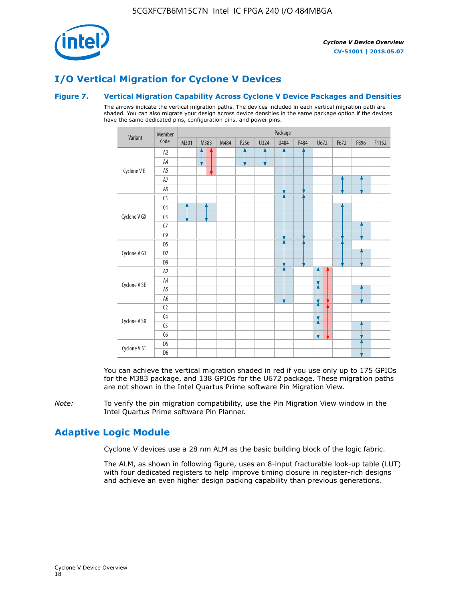

## **I/O Vertical Migration for Cyclone V Devices**

#### **Figure 7. Vertical Migration Capability Across Cyclone V Device Packages and Densities**

The arrows indicate the vertical migration paths. The devices included in each vertical migration path are shaded. You can also migrate your design across device densities in the same package option if the devices have the same dedicated pins, configuration pins, and power pins.



You can achieve the vertical migration shaded in red if you use only up to 175 GPIOs for the M383 package, and 138 GPIOs for the U672 package. These migration paths are not shown in the Intel Quartus Prime software Pin Migration View.

*Note:* To verify the pin migration compatibility, use the Pin Migration View window in the Intel Quartus Prime software Pin Planner.

## **Adaptive Logic Module**

Cyclone V devices use a 28 nm ALM as the basic building block of the logic fabric.

The ALM, as shown in following figure, uses an 8-input fracturable look-up table (LUT) with four dedicated registers to help improve timing closure in register-rich designs and achieve an even higher design packing capability than previous generations.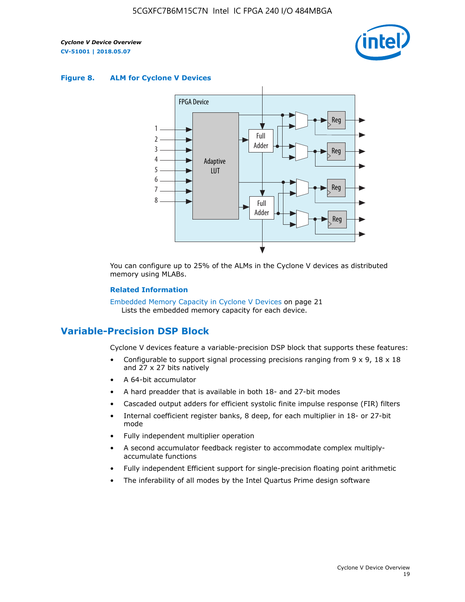

#### **Figure 8. ALM for Cyclone V Devices**



You can configure up to 25% of the ALMs in the Cyclone V devices as distributed memory using MLABs.

#### **Related Information**

Embedded Memory Capacity in Cyclone V Devices on page 21 Lists the embedded memory capacity for each device.

## **Variable-Precision DSP Block**

Cyclone V devices feature a variable-precision DSP block that supports these features:

- Configurable to support signal processing precisions ranging from  $9 \times 9$ ,  $18 \times 18$ and 27 x 27 bits natively
- A 64-bit accumulator
- A hard preadder that is available in both 18- and 27-bit modes
- Cascaded output adders for efficient systolic finite impulse response (FIR) filters
- Internal coefficient register banks, 8 deep, for each multiplier in 18- or 27-bit mode
- Fully independent multiplier operation
- A second accumulator feedback register to accommodate complex multiplyaccumulate functions
- Fully independent Efficient support for single-precision floating point arithmetic
- The inferability of all modes by the Intel Quartus Prime design software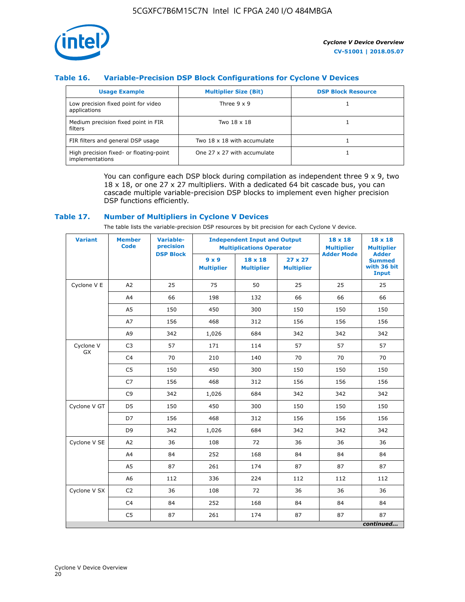

#### **Table 16. Variable-Precision DSP Block Configurations for Cyclone V Devices**

| <b>Usage Example</b>                                       | <b>Multiplier Size (Bit)</b> | <b>DSP Block Resource</b> |
|------------------------------------------------------------|------------------------------|---------------------------|
| Low precision fixed point for video<br>applications        | Three $9 \times 9$           |                           |
| Medium precision fixed point in FIR<br>filters             | Two 18 x 18                  |                           |
| FIR filters and general DSP usage                          | Two 18 x 18 with accumulate  |                           |
| High precision fixed- or floating-point<br>implementations | One 27 x 27 with accumulate  |                           |

You can configure each DSP block during compilation as independent three  $9 \times 9$ , two 18 x 18, or one 27 x 27 multipliers. With a dedicated 64 bit cascade bus, you can cascade multiple variable-precision DSP blocks to implement even higher precision DSP functions efficiently.

#### **Table 17. Number of Multipliers in Cyclone V Devices**

The table lists the variable-precision DSP resources by bit precision for each Cyclone V device.

| <b>Variant</b>  | <b>Member</b><br>Code | <b>Variable-</b><br>precision |                                   | <b>Independent Input and Output</b><br><b>Multiplications Operator</b> |                                     |                   | $18 \times 18$<br><b>Multiplier</b>                          |
|-----------------|-----------------------|-------------------------------|-----------------------------------|------------------------------------------------------------------------|-------------------------------------|-------------------|--------------------------------------------------------------|
|                 |                       | <b>DSP Block</b>              | $9 \times 9$<br><b>Multiplier</b> | $18 \times 18$<br><b>Multiplier</b>                                    | $27 \times 27$<br><b>Multiplier</b> | <b>Adder Mode</b> | <b>Adder</b><br><b>Summed</b><br>with 36 bit<br><b>Input</b> |
| Cyclone V E     | A2                    | 25                            | 75                                | 50                                                                     | 25                                  | 25                | 25                                                           |
|                 | A4                    | 66                            | 198                               | 132                                                                    | 66                                  | 66                | 66                                                           |
|                 | A <sub>5</sub>        | 150                           | 450                               | 300                                                                    | 150                                 | 150               | 150                                                          |
|                 | A7                    | 156                           | 468                               | 312                                                                    | 156                                 | 156               | 156                                                          |
|                 | A9                    | 342                           | 1,026                             | 684                                                                    | 342                                 | 342               | 342                                                          |
| Cyclone V<br>GX | C <sub>3</sub>        | 57                            | 171                               | 114                                                                    | 57                                  | 57                | 57                                                           |
|                 | C <sub>4</sub>        | 70                            | 210                               | 140                                                                    | 70                                  | 70                | 70                                                           |
|                 | C <sub>5</sub>        | 150                           | 450                               | 300                                                                    | 150                                 | 150               | 150                                                          |
|                 | C7                    | 156                           | 468                               | 312                                                                    | 156                                 | 156               | 156                                                          |
|                 | C <sub>9</sub>        | 342                           | 1,026                             | 684                                                                    | 342                                 | 342               | 342                                                          |
| Cyclone V GT    | D <sub>5</sub>        | 150                           | 450                               | 300                                                                    | 150                                 | 150               | 150                                                          |
|                 | D7                    | 156                           | 468                               | 312                                                                    | 156                                 | 156               | 156                                                          |
|                 | D <sub>9</sub>        | 342                           | 1,026                             | 684                                                                    | 342                                 | 342               | 342                                                          |
| Cyclone V SE    | A <sub>2</sub>        | 36                            | 108                               | 72                                                                     | 36                                  | 36                | 36                                                           |
|                 | A4                    | 84                            | 252                               | 168                                                                    | 84                                  | 84                | 84                                                           |
|                 | A5                    | 87                            | 261                               | 174                                                                    | 87                                  | 87                | 87                                                           |
|                 | A <sub>6</sub>        | 112                           | 336                               | 224                                                                    | 112                                 | 112               | 112                                                          |
| Cyclone V SX    | C <sub>2</sub>        | 36                            | 108                               | 72                                                                     | 36                                  | 36                | 36                                                           |
|                 | C <sub>4</sub>        | 84                            | 252                               | 168                                                                    | 84                                  | 84                | 84                                                           |
|                 | C <sub>5</sub>        | 87                            | 261                               | 174                                                                    | 87                                  | 87                | 87                                                           |
|                 |                       |                               |                                   |                                                                        |                                     |                   | continued                                                    |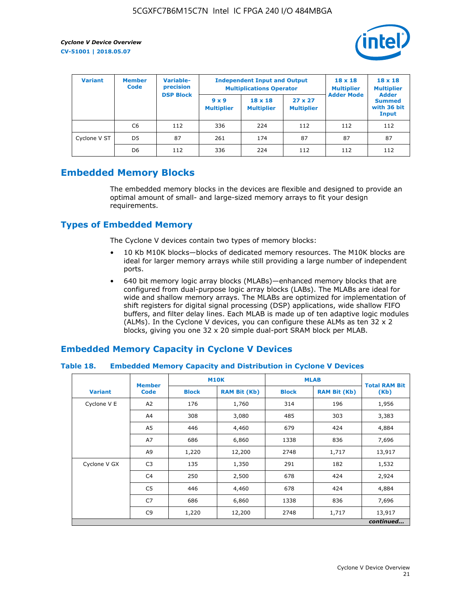

| <b>Variant</b> | <b>Variable-</b><br><b>Member</b><br>precision<br><b>Code</b> |                  |                                   | <b>Independent Input and Output</b><br><b>Multiplications Operator</b> | $18 \times 18$<br><b>Multiplier</b> | $18 \times 18$<br><b>Multiplier</b><br><b>Adder</b> |                                       |
|----------------|---------------------------------------------------------------|------------------|-----------------------------------|------------------------------------------------------------------------|-------------------------------------|-----------------------------------------------------|---------------------------------------|
|                |                                                               | <b>DSP Block</b> | $9 \times 9$<br><b>Multiplier</b> | $18 \times 18$<br><b>Multiplier</b>                                    | $27 \times 27$<br><b>Multiplier</b> | <b>Adder Mode</b>                                   | <b>Summed</b><br>with 36 bit<br>Input |
|                | C6                                                            | 112              | 336                               | 224                                                                    | 112                                 | 112                                                 | 112                                   |
| Cyclone V ST   | D <sub>5</sub>                                                | 87               | 261                               | 174                                                                    | 87                                  | 87                                                  | 87                                    |
|                | D <sub>6</sub>                                                | 112              | 336                               | 224                                                                    | 112                                 | 112                                                 | 112                                   |

## **Embedded Memory Blocks**

The embedded memory blocks in the devices are flexible and designed to provide an optimal amount of small- and large-sized memory arrays to fit your design requirements.

## **Types of Embedded Memory**

The Cyclone V devices contain two types of memory blocks:

- 10 Kb M10K blocks—blocks of dedicated memory resources. The M10K blocks are ideal for larger memory arrays while still providing a large number of independent ports.
- 640 bit memory logic array blocks (MLABs)—enhanced memory blocks that are configured from dual-purpose logic array blocks (LABs). The MLABs are ideal for wide and shallow memory arrays. The MLABs are optimized for implementation of shift registers for digital signal processing (DSP) applications, wide shallow FIFO buffers, and filter delay lines. Each MLAB is made up of ten adaptive logic modules (ALMs). In the Cyclone V devices, you can configure these ALMs as ten 32 x 2 blocks, giving you one 32 x 20 simple dual-port SRAM block per MLAB.

## **Embedded Memory Capacity in Cyclone V Devices**

#### **Table 18. Embedded Memory Capacity and Distribution in Cyclone V Devices**

|                | <b>Member</b>  | <b>M10K</b>  |                     | <b>MLAB</b>  | <b>Total RAM Bit</b> |        |  |  |
|----------------|----------------|--------------|---------------------|--------------|----------------------|--------|--|--|
| <b>Variant</b> | <b>Code</b>    | <b>Block</b> | <b>RAM Bit (Kb)</b> | <b>Block</b> | <b>RAM Bit (Kb)</b>  | (Kb)   |  |  |
| Cyclone V E    | A2             | 176          | 1,760               | 314          | 196                  | 1,956  |  |  |
|                | A4             | 308          | 3,080               | 485          | 303                  | 3,383  |  |  |
|                | A5             | 446          | 4,460               | 679          | 424                  | 4,884  |  |  |
|                | A7             | 686          | 6,860               | 1338         | 836                  | 7,696  |  |  |
|                | A9             | 1,220        | 12,200              | 2748         | 1,717                | 13,917 |  |  |
| Cyclone V GX   | C <sub>3</sub> | 135          | 1,350               | 291          | 182                  | 1,532  |  |  |
|                | C4             | 250          | 2,500               | 678          | 424                  | 2,924  |  |  |
|                | C5             | 446          | 4,460               | 678          | 424                  | 4,884  |  |  |
|                | C7             | 686          | 6,860               | 1338         | 836                  | 7,696  |  |  |
|                | C <sub>9</sub> | 1,220        | 12,200              | 2748         | 1,717                | 13,917 |  |  |
|                | continued      |              |                     |              |                      |        |  |  |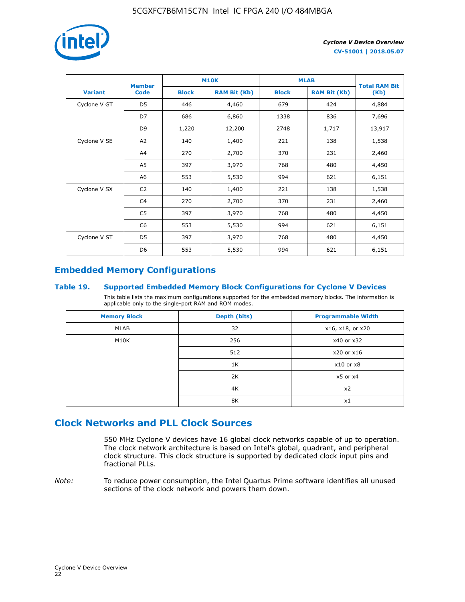

|                | <b>Member</b>  | <b>M10K</b>  |                     | <b>MLAB</b>  | <b>Total RAM Bit</b> |        |
|----------------|----------------|--------------|---------------------|--------------|----------------------|--------|
| <b>Variant</b> | <b>Code</b>    | <b>Block</b> | <b>RAM Bit (Kb)</b> | <b>Block</b> | <b>RAM Bit (Kb)</b>  | (Kb)   |
| Cyclone V GT   | D <sub>5</sub> | 446          | 4,460               | 679          | 424                  | 4,884  |
|                | D7             | 686          | 6,860               | 1338         | 836                  | 7,696  |
|                | D <sub>9</sub> | 1,220        | 12,200              | 2748         | 1,717                | 13,917 |
| Cyclone V SE   | A2             | 140          | 1,400               | 221          | 138                  | 1,538  |
|                | A4             | 270          | 2,700               | 370          | 231                  | 2,460  |
|                | A5             | 397          | 3,970               | 768          | 480                  | 4,450  |
|                | A6             | 553          | 5,530               | 994          | 621                  | 6,151  |
| Cyclone V SX   | C <sub>2</sub> | 140          | 1,400               | 221          | 138                  | 1,538  |
|                | C <sub>4</sub> | 270          | 2,700               | 370          | 231                  | 2,460  |
|                | C5             | 397          | 3,970               | 768          | 480                  | 4,450  |
|                | C <sub>6</sub> | 553          | 5,530               | 994          | 621                  | 6,151  |
| Cyclone V ST   | D5             | 397          | 3,970               | 768          | 480                  | 4,450  |
|                | D <sub>6</sub> | 553          | 5,530               | 994          | 621                  | 6,151  |

## **Embedded Memory Configurations**

#### **Table 19. Supported Embedded Memory Block Configurations for Cyclone V Devices**

This table lists the maximum configurations supported for the embedded memory blocks. The information is applicable only to the single-port RAM and ROM modes.

| <b>Memory Block</b> | Depth (bits) | <b>Programmable Width</b> |
|---------------------|--------------|---------------------------|
| MLAB                | 32           | x16, x18, or x20          |
| M10K                | 256          | x40 or x32                |
|                     | 512          | x20 or x16                |
|                     | 1K           | $x10$ or $x8$             |
|                     | 2K           | $x5$ or $x4$              |
|                     | 4K           | x2                        |
|                     | 8K           | x1                        |

## **Clock Networks and PLL Clock Sources**

550 MHz Cyclone V devices have 16 global clock networks capable of up to operation. The clock network architecture is based on Intel's global, quadrant, and peripheral clock structure. This clock structure is supported by dedicated clock input pins and fractional PLLs.

*Note:* To reduce power consumption, the Intel Quartus Prime software identifies all unused sections of the clock network and powers them down.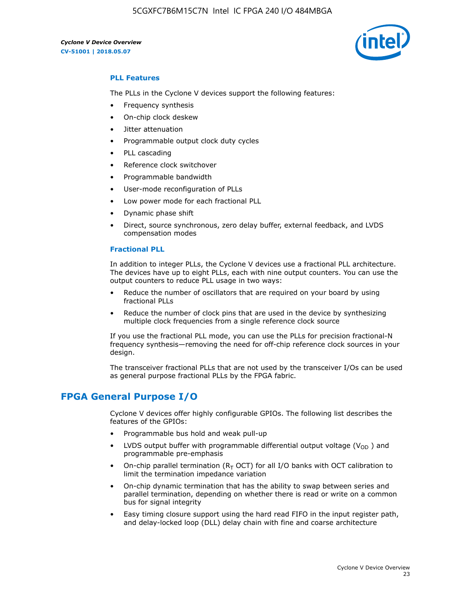

#### **PLL Features**

The PLLs in the Cyclone V devices support the following features:

- Frequency synthesis
- On-chip clock deskew
- Jitter attenuation
- Programmable output clock duty cycles
- PLL cascading
- Reference clock switchover
- Programmable bandwidth
- User-mode reconfiguration of PLLs
- Low power mode for each fractional PLL
- Dynamic phase shift
- Direct, source synchronous, zero delay buffer, external feedback, and LVDS compensation modes

#### **Fractional PLL**

In addition to integer PLLs, the Cyclone V devices use a fractional PLL architecture. The devices have up to eight PLLs, each with nine output counters. You can use the output counters to reduce PLL usage in two ways:

- Reduce the number of oscillators that are required on your board by using fractional PLLs
- Reduce the number of clock pins that are used in the device by synthesizing multiple clock frequencies from a single reference clock source

If you use the fractional PLL mode, you can use the PLLs for precision fractional-N frequency synthesis—removing the need for off-chip reference clock sources in your design.

The transceiver fractional PLLs that are not used by the transceiver I/Os can be used as general purpose fractional PLLs by the FPGA fabric.

## **FPGA General Purpose I/O**

Cyclone V devices offer highly configurable GPIOs. The following list describes the features of the GPIOs:

- Programmable bus hold and weak pull-up
- LVDS output buffer with programmable differential output voltage ( $V_{OD}$ ) and programmable pre-emphasis
- On-chip parallel termination ( $R<sub>T</sub>$  OCT) for all I/O banks with OCT calibration to limit the termination impedance variation
- On-chip dynamic termination that has the ability to swap between series and parallel termination, depending on whether there is read or write on a common bus for signal integrity
- Easy timing closure support using the hard read FIFO in the input register path, and delay-locked loop (DLL) delay chain with fine and coarse architecture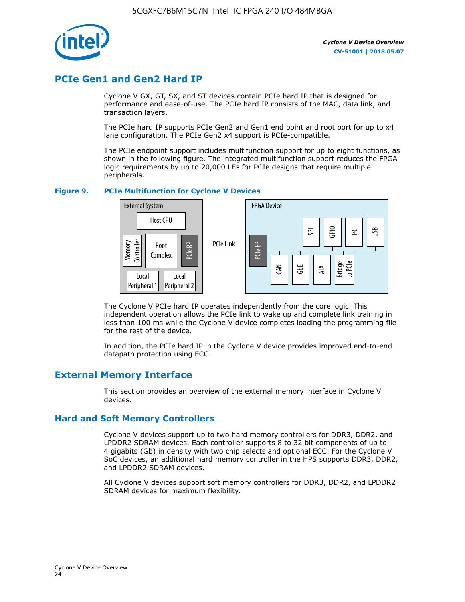

## **PCIe Gen1 and Gen2 Hard IP**

Cyclone V GX, GT, SX, and ST devices contain PCIe hard IP that is designed for performance and ease-of-use. The PCIe hard IP consists of the MAC, data link, and transaction layers.

The PCIe hard IP supports PCIe Gen2 and Gen1 end point and root port for up to x4 lane configuration. The PCIe Gen2 x4 support is PCIe-compatible.

The PCIe endpoint support includes multifunction support for up to eight functions, as shown in the following figure. The integrated multifunction support reduces the FPGA logic requirements by up to 20,000 LEs for PCIe designs that require multiple peripherals.

#### **Figure 9. PCIe Multifunction for Cyclone V Devices**



The Cyclone V PCIe hard IP operates independently from the core logic. This independent operation allows the PCIe link to wake up and complete link training in less than 100 ms while the Cyclone V device completes loading the programming file for the rest of the device.

In addition, the PCIe hard IP in the Cyclone V device provides improved end-to-end datapath protection using ECC.

## **External Memory Interface**

This section provides an overview of the external memory interface in Cyclone V devices.

#### **Hard and Soft Memory Controllers**

Cyclone V devices support up to two hard memory controllers for DDR3, DDR2, and LPDDR2 SDRAM devices. Each controller supports 8 to 32 bit components of up to 4 gigabits (Gb) in density with two chip selects and optional ECC. For the Cyclone V SoC devices, an additional hard memory controller in the HPS supports DDR3, DDR2, and LPDDR2 SDRAM devices.

All Cyclone V devices support soft memory controllers for DDR3, DDR2, and LPDDR2 SDRAM devices for maximum flexibility.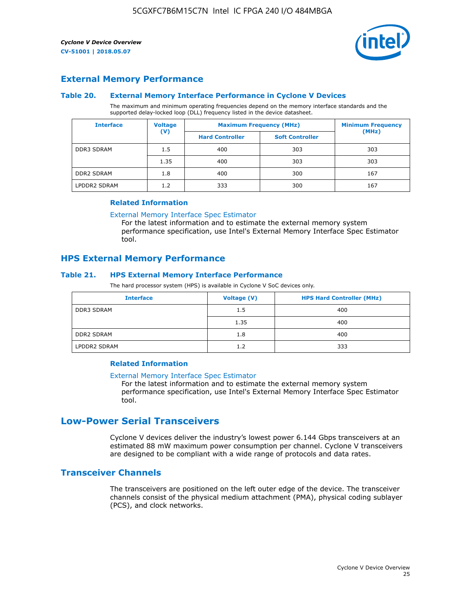

## **External Memory Performance**

#### **Table 20. External Memory Interface Performance in Cyclone V Devices**

The maximum and minimum operating frequencies depend on the memory interface standards and the supported delay-locked loop (DLL) frequency listed in the device datasheet.

| <b>Voltage</b><br><b>Interface</b> |                | <b>Maximum Frequency (MHz)</b> | <b>Minimum Frequency</b> |       |
|------------------------------------|----------------|--------------------------------|--------------------------|-------|
|                                    | $(\mathsf{V})$ | <b>Hard Controller</b>         | <b>Soft Controller</b>   | (MHz) |
| <b>DDR3 SDRAM</b>                  | 1.5            | 400                            | 303                      | 303   |
|                                    | 1.35           | 400                            | 303                      | 303   |
| <b>DDR2 SDRAM</b>                  | 1.8            | 400                            | 300                      | 167   |
| LPDDR2 SDRAM                       | 1.2            | 333                            | 300                      | 167   |

#### **Related Information**

[External Memory Interface Spec Estimator](https://www.altera.com/solutions/technology/external-memory/spec-estimator.html)

For the latest information and to estimate the external memory system performance specification, use Intel's External Memory Interface Spec Estimator tool.

#### **HPS External Memory Performance**

#### **Table 21. HPS External Memory Interface Performance**

The hard processor system (HPS) is available in Cyclone V SoC devices only.

| <b>Interface</b>  | Voltage (V) | <b>HPS Hard Controller (MHz)</b> |
|-------------------|-------------|----------------------------------|
| <b>DDR3 SDRAM</b> | 1.5         | 400                              |
|                   | 1.35        | 400                              |
| <b>DDR2 SDRAM</b> | 1.8         | 400                              |
| LPDDR2 SDRAM      | 1.2         | 333                              |

#### **Related Information**

#### [External Memory Interface Spec Estimator](https://www.altera.com/solutions/technology/external-memory/spec-estimator.html)

For the latest information and to estimate the external memory system performance specification, use Intel's External Memory Interface Spec Estimator tool.

## **Low-Power Serial Transceivers**

Cyclone V devices deliver the industry's lowest power 6.144 Gbps transceivers at an estimated 88 mW maximum power consumption per channel. Cyclone V transceivers are designed to be compliant with a wide range of protocols and data rates.

### **Transceiver Channels**

The transceivers are positioned on the left outer edge of the device. The transceiver channels consist of the physical medium attachment (PMA), physical coding sublayer (PCS), and clock networks.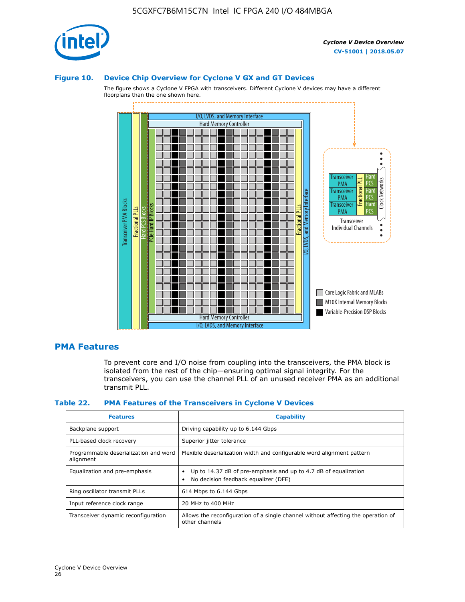

#### **Figure 10. Device Chip Overview for Cyclone V GX and GT Devices**

The figure shows a Cyclone V FPGA with transceivers. Different Cyclone V devices may have a different floorplans than the one shown here.



#### **PMA Features**

To prevent core and I/O noise from coupling into the transceivers, the PMA block is isolated from the rest of the chip—ensuring optimal signal integrity. For the transceivers, you can use the channel PLL of an unused receiver PMA as an additional transmit PLL.

#### **Table 22. PMA Features of the Transceivers in Cyclone V Devices**

| <b>Features</b>                                    | <b>Capability</b>                                                                                       |
|----------------------------------------------------|---------------------------------------------------------------------------------------------------------|
| Backplane support                                  | Driving capability up to 6.144 Gbps                                                                     |
| PLL-based clock recovery                           | Superior jitter tolerance                                                                               |
| Programmable deserialization and word<br>alignment | Flexible deserialization width and configurable word alignment pattern                                  |
| Equalization and pre-emphasis                      | Up to 14.37 dB of pre-emphasis and up to 4.7 dB of equalization<br>No decision feedback equalizer (DFE) |
| Ring oscillator transmit PLLs                      | 614 Mbps to 6.144 Gbps                                                                                  |
| Input reference clock range                        | 20 MHz to 400 MHz                                                                                       |
| Transceiver dynamic reconfiguration                | Allows the reconfiguration of a single channel without affecting the operation of<br>other channels     |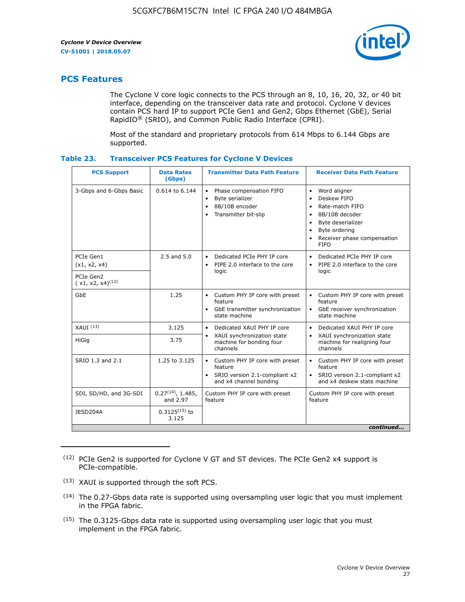

## **PCS Features**

The Cyclone V core logic connects to the PCS through an 8, 10, 16, 20, 32, or 40 bit interface, depending on the transceiver data rate and protocol. Cyclone V devices contain PCS hard IP to support PCIe Gen1 and Gen2, Gbps Ethernet (GbE), Serial RapidIO® (SRIO), and Common Public Radio Interface (CPRI).

Most of the standard and proprietary protocols from 614 Mbps to 6.144 Gbps are supported.

| Table 23. |  | <b>Transceiver PCS Features for Cyclone V Devices</b> |
|-----------|--|-------------------------------------------------------|
|           |  |                                                       |

| <b>PCS Support</b>                 | <b>Data Rates</b><br>(Gbps)        | <b>Transmitter Data Path Feature</b>                                                                         | <b>Receiver Data Path Feature</b>                                                                                                                                                                                                  |  |  |
|------------------------------------|------------------------------------|--------------------------------------------------------------------------------------------------------------|------------------------------------------------------------------------------------------------------------------------------------------------------------------------------------------------------------------------------------|--|--|
| 3-Gbps and 6-Gbps Basic            | 0.614 to 6.144                     | • Phase compensation FIFO<br>Byte serializer<br>8B/10B encoder<br>Transmitter bit-slip                       | Word aligner<br>$\bullet$<br>Deskew FIFO<br>$\bullet$<br>Rate-match FIFO<br>$\bullet$<br>8B/10B decoder<br>$\bullet$<br>Byte deserializer<br>$\bullet$<br>Byte ordering<br>$\bullet$<br>Receiver phase compensation<br><b>FIFO</b> |  |  |
| PCIe Gen1<br>(x1, x2, x4)          | $2.5$ and $5.0$                    | Dedicated PCIe PHY IP core<br>PIPE 2.0 interface to the core<br>$\bullet$<br>logic                           | Dedicated PCIe PHY IP core<br>$\bullet$<br>PIPE 2.0 interface to the core<br>$\bullet$<br>logic                                                                                                                                    |  |  |
| PCIe Gen2<br>$(x1, x2, x4)^{(12)}$ |                                    |                                                                                                              |                                                                                                                                                                                                                                    |  |  |
| GbE                                | 1.25                               | • Custom PHY IP core with preset<br>feature<br>GbE transmitter synchronization<br>$\bullet$<br>state machine | • Custom PHY IP core with preset<br>feature<br>GbE receiver synchronization<br>state machine                                                                                                                                       |  |  |
| $XAUI$ $(13)$                      | 3.125                              | Dedicated XAUI PHY IP core<br>$\bullet$                                                                      | Dedicated XAUI PHY IP core<br>$\bullet$                                                                                                                                                                                            |  |  |
| <b>HiGig</b>                       | 3.75                               | XAUI synchronization state<br>$\bullet$<br>machine for bonding four<br>channels                              | XAUI synchronization state<br>$\bullet$<br>machine for realigning four<br>channels                                                                                                                                                 |  |  |
| SRIO 1.3 and 2.1                   | 1.25 to 3.125                      | • Custom PHY IP core with preset<br>feature<br>• SRIO version 2.1-compliant x2<br>and x4 channel bonding     | • Custom PHY IP core with preset<br>feature<br>• SRIO version 2.1-compliant x2<br>and x4 deskew state machine                                                                                                                      |  |  |
| SDI, SD/HD, and 3G-SDI             | $0.27^{(14)}$ , 1.485,<br>and 2.97 | Custom PHY IP core with preset<br>feature                                                                    | Custom PHY IP core with preset<br>feature                                                                                                                                                                                          |  |  |
| JESD204A                           | $0.3125^{(15)}$ to<br>3.125        |                                                                                                              |                                                                                                                                                                                                                                    |  |  |
| continued                          |                                    |                                                                                                              |                                                                                                                                                                                                                                    |  |  |

<sup>(12)</sup> PCIe Gen2 is supported for Cyclone V GT and ST devices. The PCIe Gen2 x4 support is PCIe-compatible.

<sup>(13)</sup> XAUI is supported through the soft PCS.

<sup>(14)</sup> The 0.27-Gbps data rate is supported using oversampling user logic that you must implement in the FPGA fabric.

<sup>(15)</sup> The 0.3125-Gbps data rate is supported using oversampling user logic that you must implement in the FPGA fabric.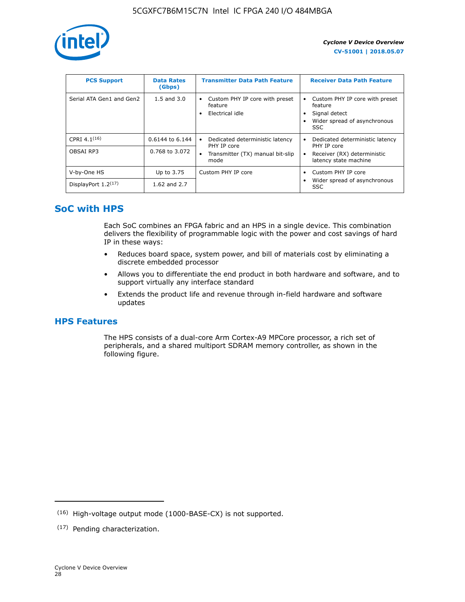

| <b>PCS Support</b>       | <b>Data Rates</b><br>(Gbps) | <b>Transmitter Data Path Feature</b>                         | <b>Receiver Data Path Feature</b>                                                                  |
|--------------------------|-----------------------------|--------------------------------------------------------------|----------------------------------------------------------------------------------------------------|
| Serial ATA Gen1 and Gen2 | $1.5$ and $3.0$             | Custom PHY IP core with preset<br>feature<br>Electrical idle | Custom PHY IP core with preset<br>feature<br>Signal detect<br>Wider spread of asynchronous<br>SSC. |
| CPRI $4.1^{(16)}$        | 0.6144 to 6.144             | Dedicated deterministic latency<br>٠<br>PHY IP core          | Dedicated deterministic latency<br>PHY IP core                                                     |
| OBSAI RP3                | 0.768 to 3.072              | Transmitter (TX) manual bit-slip<br>mode                     | Receiver (RX) deterministic<br>latency state machine                                               |
| V-by-One HS              | Up to 3.75                  | Custom PHY IP core                                           | Custom PHY IP core                                                                                 |
| DisplayPort $1.2^{(17)}$ | 1.62 and $2.7$              |                                                              | Wider spread of asynchronous<br><b>SSC</b>                                                         |

## **SoC with HPS**

Each SoC combines an FPGA fabric and an HPS in a single device. This combination delivers the flexibility of programmable logic with the power and cost savings of hard IP in these ways:

- Reduces board space, system power, and bill of materials cost by eliminating a discrete embedded processor
- Allows you to differentiate the end product in both hardware and software, and to support virtually any interface standard
- Extends the product life and revenue through in-field hardware and software updates

## **HPS Features**

The HPS consists of a dual-core Arm Cortex-A9 MPCore processor, a rich set of peripherals, and a shared multiport SDRAM memory controller, as shown in the following figure.

<sup>(16)</sup> High-voltage output mode (1000-BASE-CX) is not supported.

<sup>(17)</sup> Pending characterization.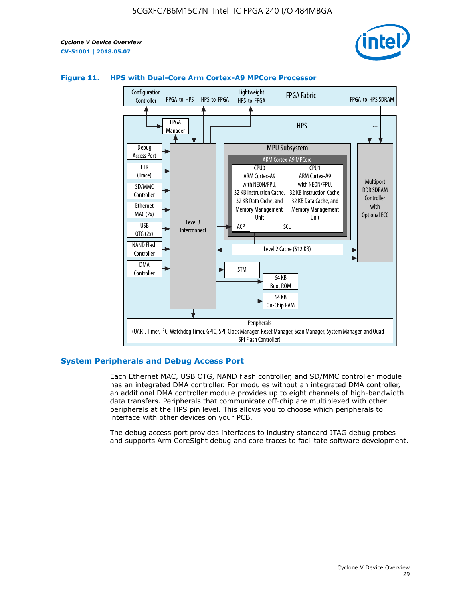



#### **Figure 11. HPS with Dual-Core Arm Cortex-A9 MPCore Processor**

#### **System Peripherals and Debug Access Port**

Each Ethernet MAC, USB OTG, NAND flash controller, and SD/MMC controller module has an integrated DMA controller. For modules without an integrated DMA controller, an additional DMA controller module provides up to eight channels of high-bandwidth data transfers. Peripherals that communicate off-chip are multiplexed with other peripherals at the HPS pin level. This allows you to choose which peripherals to interface with other devices on your PCB.

The debug access port provides interfaces to industry standard JTAG debug probes and supports Arm CoreSight debug and core traces to facilitate software development.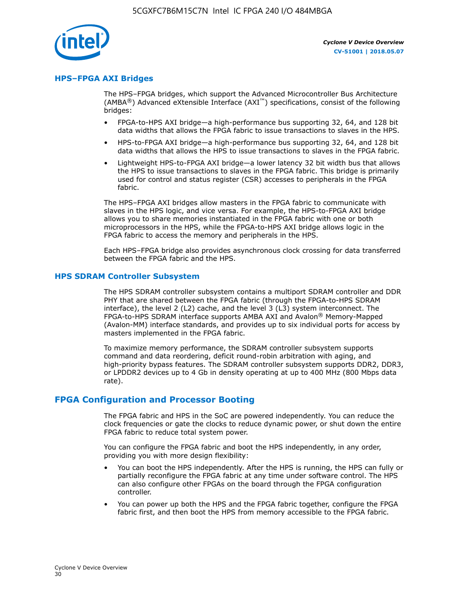

#### **HPS–FPGA AXI Bridges**

The HPS–FPGA bridges, which support the Advanced Microcontroller Bus Architecture (AMBA<sup>®</sup>) Advanced eXtensible Interface (AXI<sup>™</sup>) specifications, consist of the following bridges:

- FPGA-to-HPS AXI bridge—a high-performance bus supporting 32, 64, and 128 bit data widths that allows the FPGA fabric to issue transactions to slaves in the HPS.
- HPS-to-FPGA AXI bridge—a high-performance bus supporting 32, 64, and 128 bit data widths that allows the HPS to issue transactions to slaves in the FPGA fabric.
- Lightweight HPS-to-FPGA AXI bridge—a lower latency 32 bit width bus that allows the HPS to issue transactions to slaves in the FPGA fabric. This bridge is primarily used for control and status register (CSR) accesses to peripherals in the FPGA fabric.

The HPS–FPGA AXI bridges allow masters in the FPGA fabric to communicate with slaves in the HPS logic, and vice versa. For example, the HPS-to-FPGA AXI bridge allows you to share memories instantiated in the FPGA fabric with one or both microprocessors in the HPS, while the FPGA-to-HPS AXI bridge allows logic in the FPGA fabric to access the memory and peripherals in the HPS.

Each HPS–FPGA bridge also provides asynchronous clock crossing for data transferred between the FPGA fabric and the HPS.

#### **HPS SDRAM Controller Subsystem**

The HPS SDRAM controller subsystem contains a multiport SDRAM controller and DDR PHY that are shared between the FPGA fabric (through the FPGA-to-HPS SDRAM interface), the level 2 (L2) cache, and the level 3 (L3) system interconnect. The FPGA-to-HPS SDRAM interface supports AMBA AXI and Avalon® Memory-Mapped (Avalon-MM) interface standards, and provides up to six individual ports for access by masters implemented in the FPGA fabric.

To maximize memory performance, the SDRAM controller subsystem supports command and data reordering, deficit round-robin arbitration with aging, and high-priority bypass features. The SDRAM controller subsystem supports DDR2, DDR3, or LPDDR2 devices up to 4 Gb in density operating at up to 400 MHz (800 Mbps data rate).

#### **FPGA Configuration and Processor Booting**

The FPGA fabric and HPS in the SoC are powered independently. You can reduce the clock frequencies or gate the clocks to reduce dynamic power, or shut down the entire FPGA fabric to reduce total system power.

You can configure the FPGA fabric and boot the HPS independently, in any order, providing you with more design flexibility:

- You can boot the HPS independently. After the HPS is running, the HPS can fully or partially reconfigure the FPGA fabric at any time under software control. The HPS can also configure other FPGAs on the board through the FPGA configuration controller.
- You can power up both the HPS and the FPGA fabric together, configure the FPGA fabric first, and then boot the HPS from memory accessible to the FPGA fabric.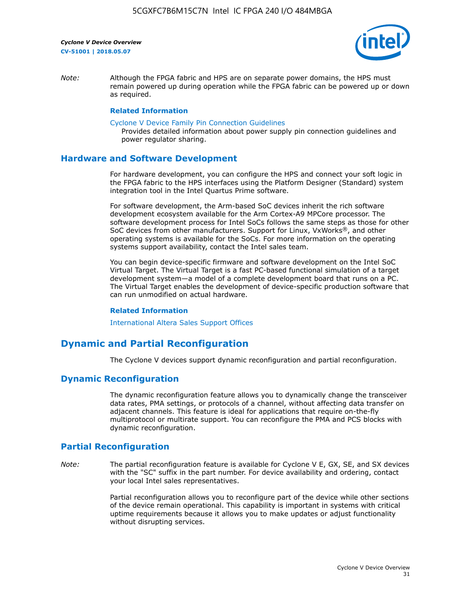

*Note:* Although the FPGA fabric and HPS are on separate power domains, the HPS must remain powered up during operation while the FPGA fabric can be powered up or down as required.

#### **Related Information**

[Cyclone V Device Family Pin Connection Guidelines](https://www.altera.com/content/dam/altera-www/global/en_US/pdfs/literature/dp/cyclone-v/pcg-01014.pdf)

Provides detailed information about power supply pin connection guidelines and power regulator sharing.

#### **Hardware and Software Development**

For hardware development, you can configure the HPS and connect your soft logic in the FPGA fabric to the HPS interfaces using the Platform Designer (Standard) system integration tool in the Intel Quartus Prime software.

For software development, the Arm-based SoC devices inherit the rich software development ecosystem available for the Arm Cortex-A9 MPCore processor. The software development process for Intel SoCs follows the same steps as those for other SoC devices from other manufacturers. Support for Linux, VxWorks®, and other operating systems is available for the SoCs. For more information on the operating systems support availability, contact the Intel sales team.

You can begin device-specific firmware and software development on the Intel SoC Virtual Target. The Virtual Target is a fast PC-based functional simulation of a target development system—a model of a complete development board that runs on a PC. The Virtual Target enables the development of device-specific production software that can run unmodified on actual hardware.

#### **Related Information**

[International Altera Sales Support Offices](https://www.altera.com/about/contact/contact/international-altera-sales-offices.html)

## **Dynamic and Partial Reconfiguration**

The Cyclone V devices support dynamic reconfiguration and partial reconfiguration.

#### **Dynamic Reconfiguration**

The dynamic reconfiguration feature allows you to dynamically change the transceiver data rates, PMA settings, or protocols of a channel, without affecting data transfer on adjacent channels. This feature is ideal for applications that require on-the-fly multiprotocol or multirate support. You can reconfigure the PMA and PCS blocks with dynamic reconfiguration.

## **Partial Reconfiguration**

*Note:* The partial reconfiguration feature is available for Cyclone V E, GX, SE, and SX devices with the "SC" suffix in the part number. For device availability and ordering, contact your local Intel sales representatives.

> Partial reconfiguration allows you to reconfigure part of the device while other sections of the device remain operational. This capability is important in systems with critical uptime requirements because it allows you to make updates or adjust functionality without disrupting services.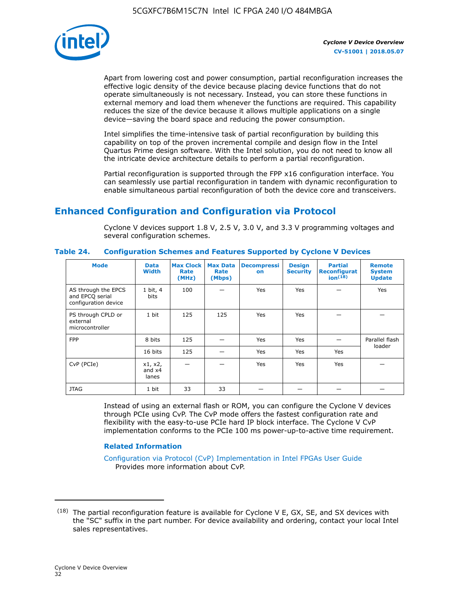

Apart from lowering cost and power consumption, partial reconfiguration increases the effective logic density of the device because placing device functions that do not operate simultaneously is not necessary. Instead, you can store these functions in external memory and load them whenever the functions are required. This capability reduces the size of the device because it allows multiple applications on a single device—saving the board space and reducing the power consumption.

Intel simplifies the time-intensive task of partial reconfiguration by building this capability on top of the proven incremental compile and design flow in the Intel Quartus Prime design software. With the Intel solution, you do not need to know all the intricate device architecture details to perform a partial reconfiguration.

Partial reconfiguration is supported through the FPP x16 configuration interface. You can seamlessly use partial reconfiguration in tandem with dynamic reconfiguration to enable simultaneous partial reconfiguration of both the device core and transceivers.

## **Enhanced Configuration and Configuration via Protocol**

Cyclone V devices support 1.8 V, 2.5 V, 3.0 V, and 3.3 V programming voltages and several configuration schemes.

| <b>Mode</b>                                                    | <b>Data</b><br>Width         | Max Clock  <br>Rate<br>(MHz) | <b>Max Data</b><br>Rate<br>(Mbps) | <b>Decompressi</b><br>on | <b>Design</b><br><b>Security</b> | <b>Partial</b><br>Reconfigurat<br>ion <sup>(18)</sup> | <b>Remote</b><br><b>System</b><br><b>Update</b> |
|----------------------------------------------------------------|------------------------------|------------------------------|-----------------------------------|--------------------------|----------------------------------|-------------------------------------------------------|-------------------------------------------------|
| AS through the EPCS<br>and EPCQ serial<br>configuration device | 1 bit, 4<br>bits             | 100                          |                                   | Yes                      | <b>Yes</b>                       |                                                       | Yes                                             |
| PS through CPLD or<br>external<br>microcontroller              | 1 bit                        | 125                          | 125                               | Yes                      | Yes                              |                                                       |                                                 |
| <b>FPP</b>                                                     | 8 bits                       | 125                          |                                   | Yes                      | <b>Yes</b>                       |                                                       | Parallel flash                                  |
|                                                                | 16 bits                      | 125                          |                                   | Yes                      | <b>Yes</b>                       | Yes                                                   | loader                                          |
| CvP (PCIe)                                                     | x1, x2,<br>and $x4$<br>lanes |                              |                                   | Yes                      | <b>Yes</b>                       | Yes                                                   |                                                 |
| <b>JTAG</b>                                                    | 1 bit                        | 33                           | 33                                |                          |                                  |                                                       |                                                 |

**Table 24. Configuration Schemes and Features Supported by Cyclone V Devices**

Instead of using an external flash or ROM, you can configure the Cyclone V devices through PCIe using CvP. The CvP mode offers the fastest configuration rate and flexibility with the easy-to-use PCIe hard IP block interface. The Cyclone V CvP implementation conforms to the PCIe 100 ms power-up-to-active time requirement.

#### **Related Information**

[Configuration via Protocol \(CvP\) Implementation in Intel FPGAs User Guide](https://www.altera.com/documentation/nik1412546950394.html#nik1412546833714) Provides more information about CvP.

 $(18)$  The partial reconfiguration feature is available for Cyclone V E, GX, SE, and SX devices with the "SC" suffix in the part number. For device availability and ordering, contact your local Intel sales representatives.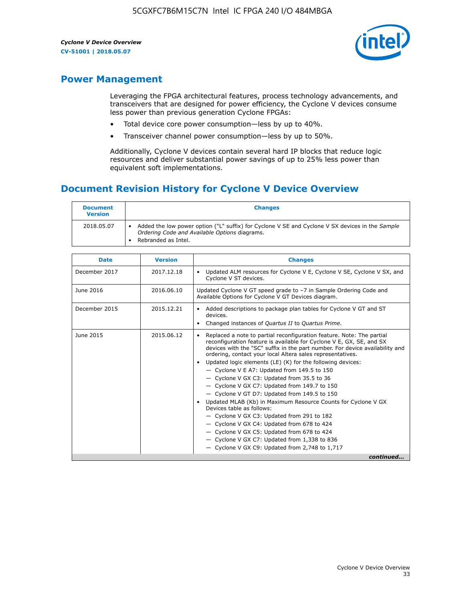

## **Power Management**

Leveraging the FPGA architectural features, process technology advancements, and transceivers that are designed for power efficiency, the Cyclone V devices consume less power than previous generation Cyclone FPGAs:

- Total device core power consumption—less by up to 40%.
- Transceiver channel power consumption—less by up to 50%.

Additionally, Cyclone V devices contain several hard IP blocks that reduce logic resources and deliver substantial power savings of up to 25% less power than equivalent soft implementations.

## **Document Revision History for Cyclone V Device Overview**

| <b>Document</b><br><b>Version</b> | <b>Changes</b>                                                                                                                                                          |
|-----------------------------------|-------------------------------------------------------------------------------------------------------------------------------------------------------------------------|
| 2018.05.07                        | Added the low power option ("L" suffix) for Cyclone V SE and Cyclone V SX devices in the Sample<br>Ordering Code and Available Options diagrams.<br>Rebranded as Intel. |

| <b>Date</b>   | <b>Version</b> | <b>Changes</b>                                                                                                                                                                                                                                                                                                                                                                                                                                                                                                                                                                                                                                                                                                                                                                                                                                                                                                  |
|---------------|----------------|-----------------------------------------------------------------------------------------------------------------------------------------------------------------------------------------------------------------------------------------------------------------------------------------------------------------------------------------------------------------------------------------------------------------------------------------------------------------------------------------------------------------------------------------------------------------------------------------------------------------------------------------------------------------------------------------------------------------------------------------------------------------------------------------------------------------------------------------------------------------------------------------------------------------|
| December 2017 | 2017.12.18     | Updated ALM resources for Cyclone V E, Cyclone V SE, Cyclone V SX, and<br>Cyclone V ST devices.                                                                                                                                                                                                                                                                                                                                                                                                                                                                                                                                                                                                                                                                                                                                                                                                                 |
| June 2016     | 2016.06.10     | Updated Cyclone V GT speed grade to -7 in Sample Ordering Code and<br>Available Options for Cyclone V GT Devices diagram.                                                                                                                                                                                                                                                                                                                                                                                                                                                                                                                                                                                                                                                                                                                                                                                       |
| December 2015 | 2015.12.21     | Added descriptions to package plan tables for Cyclone V GT and ST<br>devices.<br>Changed instances of Quartus II to Quartus Prime.                                                                                                                                                                                                                                                                                                                                                                                                                                                                                                                                                                                                                                                                                                                                                                              |
| June 2015     | 2015.06.12     | Replaced a note to partial reconfiguration feature. Note: The partial<br>reconfiguration feature is available for Cyclone V E, GX, SE, and SX<br>devices with the "SC" suffix in the part number. For device availability and<br>ordering, contact your local Altera sales representatives.<br>Updated logic elements (LE) (K) for the following devices:<br>$\bullet$<br>- Cyclone V E A7: Updated from 149.5 to 150<br>- Cyclone V GX C3: Updated from 35.5 to 36<br>- Cyclone V GX C7: Updated from 149.7 to 150<br>- Cyclone V GT D7: Updated from 149.5 to 150<br>Updated MLAB (Kb) in Maximum Resource Counts for Cyclone V GX<br>Devices table as follows:<br>- Cyclone V GX C3: Updated from 291 to 182<br>- Cyclone V GX C4: Updated from 678 to 424<br>- Cyclone V GX C5: Updated from 678 to 424<br>- Cyclone V GX C7: Updated from 1,338 to 836<br>$-$ Cyclone V GX C9: Updated from 2,748 to 1,717 |
|               |                | continued                                                                                                                                                                                                                                                                                                                                                                                                                                                                                                                                                                                                                                                                                                                                                                                                                                                                                                       |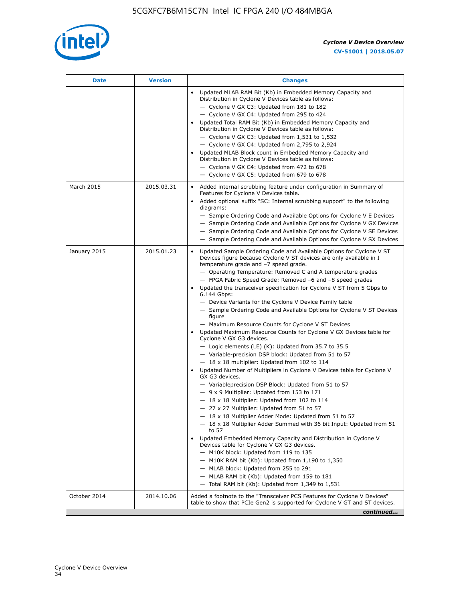

| Date         | <b>Version</b> | <b>Changes</b>                                                                                                                                                                                                                                                                                                                                                                                                                                                                                                                                                                                                                                                                                                                                                                                                                                                                                                                                                                                                                                                                                                                                                                                                                                                                                                                                                                                                                                                                                                                                                                                                                                                                                          |
|--------------|----------------|---------------------------------------------------------------------------------------------------------------------------------------------------------------------------------------------------------------------------------------------------------------------------------------------------------------------------------------------------------------------------------------------------------------------------------------------------------------------------------------------------------------------------------------------------------------------------------------------------------------------------------------------------------------------------------------------------------------------------------------------------------------------------------------------------------------------------------------------------------------------------------------------------------------------------------------------------------------------------------------------------------------------------------------------------------------------------------------------------------------------------------------------------------------------------------------------------------------------------------------------------------------------------------------------------------------------------------------------------------------------------------------------------------------------------------------------------------------------------------------------------------------------------------------------------------------------------------------------------------------------------------------------------------------------------------------------------------|
|              |                | Updated MLAB RAM Bit (Kb) in Embedded Memory Capacity and<br>Distribution in Cyclone V Devices table as follows:<br>- Cyclone V GX C3: Updated from 181 to 182<br>- Cyclone V GX C4: Updated from 295 to 424<br>Updated Total RAM Bit (Kb) in Embedded Memory Capacity and<br>Distribution in Cyclone V Devices table as follows:<br>$-$ Cyclone V GX C3: Updated from 1,531 to 1,532<br>- Cyclone V GX C4: Updated from 2,795 to 2,924<br>Updated MLAB Block count in Embedded Memory Capacity and<br>Distribution in Cyclone V Devices table as follows:<br>- Cyclone V GX C4: Updated from 472 to 678<br>- Cyclone V GX C5: Updated from 679 to 678                                                                                                                                                                                                                                                                                                                                                                                                                                                                                                                                                                                                                                                                                                                                                                                                                                                                                                                                                                                                                                                  |
| March 2015   | 2015.03.31     | Added internal scrubbing feature under configuration in Summary of<br>Features for Cyclone V Devices table.<br>Added optional suffix "SC: Internal scrubbing support" to the following<br>diagrams:<br>- Sample Ordering Code and Available Options for Cyclone V E Devices<br>- Sample Ordering Code and Available Options for Cyclone V GX Devices<br>- Sample Ordering Code and Available Options for Cyclone V SE Devices<br>- Sample Ordering Code and Available Options for Cyclone V SX Devices                                                                                                                                                                                                                                                                                                                                                                                                                                                                                                                                                                                                                                                                                                                                                                                                                                                                                                                                                                                                                                                                                                                                                                                                  |
| January 2015 | 2015.01.23     | Updated Sample Ordering Code and Available Options for Cyclone V ST<br>Devices figure because Cyclone V ST devices are only available in I<br>temperature grade and -7 speed grade.<br>- Operating Temperature: Removed C and A temperature grades<br>- FPGA Fabric Speed Grade: Removed -6 and -8 speed grades<br>Updated the transceiver specification for Cyclone V ST from 5 Gbps to<br>6.144 Gbps:<br>- Device Variants for the Cyclone V Device Family table<br>- Sample Ordering Code and Available Options for Cyclone V ST Devices<br>figure<br>- Maximum Resource Counts for Cyclone V ST Devices<br>Updated Maximum Resource Counts for Cyclone V GX Devices table for<br>Cyclone V GX G3 devices.<br>$-$ Logic elements (LE) (K): Updated from 35.7 to 35.5<br>- Variable-precision DSP block: Updated from 51 to 57<br>$-18 \times 18$ multiplier: Updated from 102 to 114<br>Updated Number of Multipliers in Cyclone V Devices table for Cyclone V<br>GX G3 devices.<br>- Variableprecision DSP Block: Updated from 51 to 57<br>$-9x9$ Multiplier: Updated from 153 to 171<br>$-18 \times 18$ Multiplier: Updated from 102 to 114<br>- 27 x 27 Multiplier: Updated from 51 to 57<br>- 18 x 18 Multiplier Adder Mode: Updated from 51 to 57<br>- 18 x 18 Multiplier Adder Summed with 36 bit Input: Updated from 51<br>to 57<br>Updated Embedded Memory Capacity and Distribution in Cyclone V<br>Devices table for Cyclone V GX G3 devices.<br>- M10K block: Updated from 119 to 135<br>- M10K RAM bit (Kb): Updated from 1,190 to 1,350<br>- MLAB block: Updated from 255 to 291<br>- MLAB RAM bit (Kb): Updated from 159 to 181<br>$-$ Total RAM bit (Kb): Updated from 1,349 to 1,531 |
| October 2014 | 2014.10.06     | Added a footnote to the "Transceiver PCS Features for Cyclone V Devices"<br>table to show that PCIe Gen2 is supported for Cyclone V GT and ST devices.                                                                                                                                                                                                                                                                                                                                                                                                                                                                                                                                                                                                                                                                                                                                                                                                                                                                                                                                                                                                                                                                                                                                                                                                                                                                                                                                                                                                                                                                                                                                                  |
|              |                | continued                                                                                                                                                                                                                                                                                                                                                                                                                                                                                                                                                                                                                                                                                                                                                                                                                                                                                                                                                                                                                                                                                                                                                                                                                                                                                                                                                                                                                                                                                                                                                                                                                                                                                               |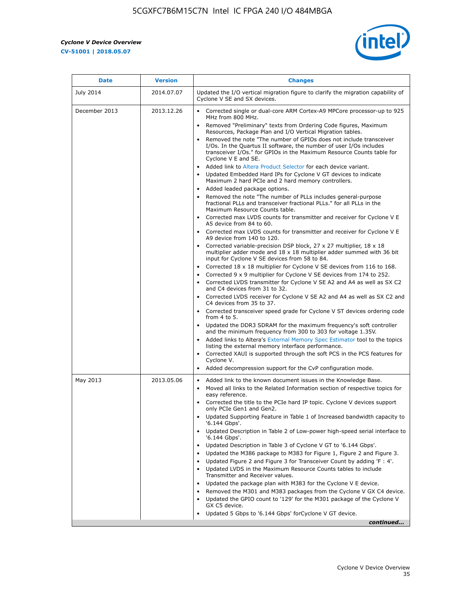r



| <b>Date</b>   | <b>Version</b> | <b>Changes</b>                                                                                                                                                                                                                           |
|---------------|----------------|------------------------------------------------------------------------------------------------------------------------------------------------------------------------------------------------------------------------------------------|
| July 2014     | 2014.07.07     | Updated the I/O vertical migration figure to clarify the migration capability of<br>Cyclone V SE and SX devices.                                                                                                                         |
| December 2013 | 2013.12.26     | Corrected single or dual-core ARM Cortex-A9 MPCore processor-up to 925<br>MHz from 800 MHz.                                                                                                                                              |
|               |                | Removed "Preliminary" texts from Ordering Code figures, Maximum<br>Resources, Package Plan and I/O Vertical Migration tables.                                                                                                            |
|               |                | Removed the note "The number of GPIOs does not include transceiver<br>I/Os. In the Quartus II software, the number of user I/Os includes<br>transceiver I/Os." for GPIOs in the Maximum Resource Counts table for<br>Cyclone V E and SE. |
|               |                | Added link to Altera Product Selector for each device variant.<br>Updated Embedded Hard IPs for Cyclone V GT devices to indicate<br>Maximum 2 hard PCIe and 2 hard memory controllers.                                                   |
|               |                | • Added leaded package options.                                                                                                                                                                                                          |
|               |                | Removed the note "The number of PLLs includes general-purpose<br>fractional PLLs and transceiver fractional PLLs." for all PLLs in the<br>Maximum Resource Counts table.                                                                 |
|               |                | • Corrected max LVDS counts for transmitter and receiver for Cyclone V E<br>A5 device from 84 to 60.                                                                                                                                     |
|               |                | • Corrected max LVDS counts for transmitter and receiver for Cyclone V E<br>A9 device from 140 to 120.                                                                                                                                   |
|               |                | Corrected variable-precision DSP block, 27 x 27 multiplier, 18 x 18<br>multiplier adder mode and 18 x 18 multiplier adder summed with 36 bit<br>input for Cyclone V SE devices from 58 to 84.                                            |
|               |                | Corrected 18 x 18 multiplier for Cyclone V SE devices from 116 to 168.                                                                                                                                                                   |
|               |                | Corrected 9 x 9 multiplier for Cyclone V SE devices from 174 to 252.                                                                                                                                                                     |
|               |                | • Corrected LVDS transmitter for Cyclone V SE A2 and A4 as well as SX C2<br>and C4 devices from 31 to 32.                                                                                                                                |
|               |                | • Corrected LVDS receiver for Cyclone V SE A2 and A4 as well as SX C2 and<br>C4 devices from 35 to 37.                                                                                                                                   |
|               |                | • Corrected transceiver speed grade for Cyclone V ST devices ordering code<br>from 4 to 5.                                                                                                                                               |
|               |                | • Updated the DDR3 SDRAM for the maximum frequency's soft controller<br>and the minimum frequency from 300 to 303 for voltage 1.35V.                                                                                                     |
|               |                | Added links to Altera's External Memory Spec Estimator tool to the topics<br>listing the external memory interface performance.                                                                                                          |
|               |                | • Corrected XAUI is supported through the soft PCS in the PCS features for<br>Cyclone V.                                                                                                                                                 |
|               |                | Added decompression support for the CvP configuration mode.                                                                                                                                                                              |
| May 2013      | 2013.05.06     | Added link to the known document issues in the Knowledge Base.<br>$\bullet$<br>Moved all links to the Related Information section of respective topics for<br>$\bullet$<br>easy reference.                                               |
|               |                | • Corrected the title to the PCIe hard IP topic. Cyclone V devices support<br>only PCIe Gen1 and Gen2.                                                                                                                                   |
|               |                | • Updated Supporting Feature in Table 1 of Increased bandwidth capacity to<br>'6.144 Gbps'.                                                                                                                                              |
|               |                | Updated Description in Table 2 of Low-power high-speed serial interface to<br>'6.144 Gbps'.                                                                                                                                              |
|               |                | Updated Description in Table 3 of Cyclone V GT to '6.144 Gbps'.                                                                                                                                                                          |
|               |                | Updated the M386 package to M383 for Figure 1, Figure 2 and Figure 3.<br>$\bullet$                                                                                                                                                       |
|               |                | Updated Figure 2 and Figure 3 for Transceiver Count by adding 'F : 4'.<br>$\bullet$                                                                                                                                                      |
|               |                | Updated LVDS in the Maximum Resource Counts tables to include<br>Transmitter and Receiver values.                                                                                                                                        |
|               |                | Updated the package plan with M383 for the Cyclone V E device.                                                                                                                                                                           |
|               |                | Removed the M301 and M383 packages from the Cyclone V GX C4 device.<br>Updated the GPIO count to '129' for the M301 package of the Cyclone V                                                                                             |
|               |                | GX C5 device.                                                                                                                                                                                                                            |
|               |                | Updated 5 Gbps to '6.144 Gbps' for Cyclone V GT device.                                                                                                                                                                                  |
|               |                | continued                                                                                                                                                                                                                                |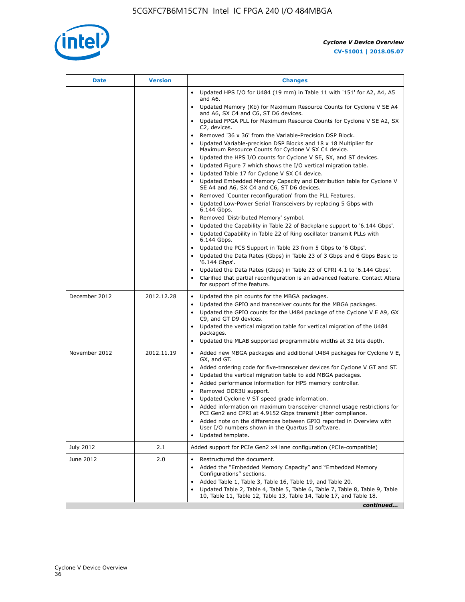

|               |            | <b>Changes</b>                                                                                                                                                                                                                                                                                                                                                                                                                                                                                                                                                                                                                                                                                                                                                                                                                                                                                                                                                                                                                                     |
|---------------|------------|----------------------------------------------------------------------------------------------------------------------------------------------------------------------------------------------------------------------------------------------------------------------------------------------------------------------------------------------------------------------------------------------------------------------------------------------------------------------------------------------------------------------------------------------------------------------------------------------------------------------------------------------------------------------------------------------------------------------------------------------------------------------------------------------------------------------------------------------------------------------------------------------------------------------------------------------------------------------------------------------------------------------------------------------------|
|               |            | • Updated HPS I/O for U484 (19 mm) in Table 11 with '151' for A2, A4, A5<br>and A6.                                                                                                                                                                                                                                                                                                                                                                                                                                                                                                                                                                                                                                                                                                                                                                                                                                                                                                                                                                |
|               |            | • Updated Memory (Kb) for Maximum Resource Counts for Cyclone V SE A4<br>and A6, SX C4 and C6, ST D6 devices.                                                                                                                                                                                                                                                                                                                                                                                                                                                                                                                                                                                                                                                                                                                                                                                                                                                                                                                                      |
|               |            | Updated FPGA PLL for Maximum Resource Counts for Cyclone V SE A2, SX<br>C2, devices.                                                                                                                                                                                                                                                                                                                                                                                                                                                                                                                                                                                                                                                                                                                                                                                                                                                                                                                                                               |
|               |            | Removed '36 x 36' from the Variable-Precision DSP Block.<br>Updated Variable-precision DSP Blocks and 18 x 18 Multiplier for<br>Maximum Resource Counts for Cyclone V SX C4 device.<br>• Updated the HPS I/O counts for Cyclone V SE, SX, and ST devices.<br>Updated Figure 7 which shows the I/O vertical migration table.<br>Updated Table 17 for Cyclone V SX C4 device.<br>$\bullet$<br>• Updated Embedded Memory Capacity and Distribution table for Cyclone V<br>SE A4 and A6, SX C4 and C6, ST D6 devices.<br>Removed 'Counter reconfiguration' from the PLL Features.<br>Updated Low-Power Serial Transceivers by replacing 5 Gbps with<br>6.144 Gbps.<br>Removed 'Distributed Memory' symbol.<br>Updated the Capability in Table 22 of Backplane support to '6.144 Gbps'.<br>Updated Capability in Table 22 of Ring oscillator transmit PLLs with<br>6.144 Gbps.<br>Updated the PCS Support in Table 23 from 5 Gbps to '6 Gbps'.<br>Updated the Data Rates (Gbps) in Table 23 of 3 Gbps and 6 Gbps Basic to<br>$\bullet$<br>'6.144 Gbps'. |
|               |            | Updated the Data Rates (Gbps) in Table 23 of CPRI 4.1 to '6.144 Gbps'.<br>Clarified that partial reconfiguration is an advanced feature. Contact Altera<br>for support of the feature.                                                                                                                                                                                                                                                                                                                                                                                                                                                                                                                                                                                                                                                                                                                                                                                                                                                             |
| December 2012 | 2012.12.28 | Updated the pin counts for the MBGA packages.<br>$\bullet$<br>Updated the GPIO and transceiver counts for the MBGA packages.<br>$\bullet$<br>Updated the GPIO counts for the U484 package of the Cyclone V E A9, GX<br>C9, and GT D9 devices.<br>• Updated the vertical migration table for vertical migration of the U484<br>packages.<br>• Updated the MLAB supported programmable widths at 32 bits depth.                                                                                                                                                                                                                                                                                                                                                                                                                                                                                                                                                                                                                                      |
| November 2012 | 2012.11.19 | • Added new MBGA packages and additional U484 packages for Cyclone V E,<br>GX, and GT.<br>• Added ordering code for five-transceiver devices for Cyclone V GT and ST.<br>Updated the vertical migration table to add MBGA packages.<br>$\bullet$<br>Added performance information for HPS memory controller.<br>$\bullet$<br>Removed DDR3U support.<br>$\bullet$<br>Updated Cyclone V ST speed grade information.<br>Added information on maximum transceiver channel usage restrictions for<br>PCI Gen2 and CPRI at 4.9152 Gbps transmit jitter compliance.<br>Added note on the differences between GPIO reported in Overview with<br>User I/O numbers shown in the Quartus II software.<br>Updated template.                                                                                                                                                                                                                                                                                                                                    |
| July 2012     | 2.1        | Added support for PCIe Gen2 x4 lane configuration (PCIe-compatible)                                                                                                                                                                                                                                                                                                                                                                                                                                                                                                                                                                                                                                                                                                                                                                                                                                                                                                                                                                                |
| June 2012     | 2.0        | Restructured the document.<br>Added the "Embedded Memory Capacity" and "Embedded Memory<br>Configurations" sections.<br>Added Table 1, Table 3, Table 16, Table 19, and Table 20.<br>Updated Table 2, Table 4, Table 5, Table 6, Table 7, Table 8, Table 9, Table<br>10, Table 11, Table 12, Table 13, Table 14, Table 17, and Table 18.<br>continued                                                                                                                                                                                                                                                                                                                                                                                                                                                                                                                                                                                                                                                                                              |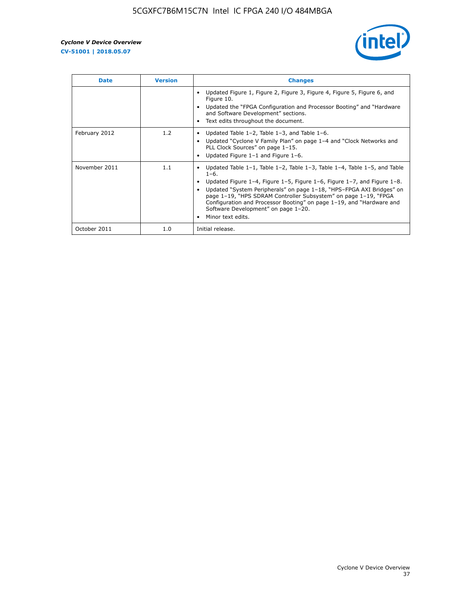

| <b>Date</b>   | <b>Version</b> | <b>Changes</b>                                                                                                                                                                                                                                                                                                                                                                                                                                                             |
|---------------|----------------|----------------------------------------------------------------------------------------------------------------------------------------------------------------------------------------------------------------------------------------------------------------------------------------------------------------------------------------------------------------------------------------------------------------------------------------------------------------------------|
|               |                | Updated Figure 1, Figure 2, Figure 3, Figure 4, Figure 5, Figure 6, and<br>Figure 10.<br>Updated the "FPGA Configuration and Processor Booting" and "Hardware<br>and Software Development" sections.<br>Text edits throughout the document.                                                                                                                                                                                                                                |
| February 2012 | 1.2            | Updated Table $1-2$ , Table $1-3$ , and Table $1-6$ .<br>Updated "Cyclone V Family Plan" on page 1-4 and "Clock Networks and<br>PLL Clock Sources" on page 1-15.<br>Updated Figure 1-1 and Figure 1-6.                                                                                                                                                                                                                                                                     |
| November 2011 | 1.1            | Updated Table $1-1$ , Table $1-2$ , Table $1-3$ , Table $1-4$ , Table $1-5$ , and Table<br>$1 - 6.$<br>Updated Figure 1-4, Figure 1-5, Figure 1-6, Figure 1-7, and Figure 1-8.<br>Updated "System Peripherals" on page 1-18, "HPS-FPGA AXI Bridges" on<br>page 1-19, "HPS SDRAM Controller Subsystem" on page 1-19, "FPGA<br>Configuration and Processor Booting" on page 1-19, and "Hardware and<br>Software Development" on page 1-20.<br>Minor text edits.<br>$\bullet$ |
| October 2011  | 1.0            | Initial release.                                                                                                                                                                                                                                                                                                                                                                                                                                                           |